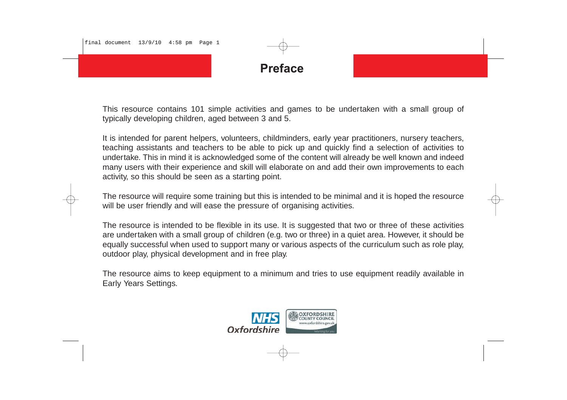

This resource contains 101 simple activities and games to be undertaken with a small group of typically developing children, aged between 3 and 5.

It is intended for parent helpers, volunteers, childminders, early year practitioners, nursery teachers, teaching assistants and teachers to be able to pick up and quickly find a selection of activities to undertake. This in mind it is acknowledged some of the content will already be well known and indeed many users with their experience and skill will elaborate on and add their own improvements to each activity, so this should be seen as a starting point.

The resource will require some training but this is intended to be minimal and it is hoped the resource will be user friendly and will ease the pressure of organising activities.

The resource is intended to be flexible in its use. It is suggested that two or three of these activities are undertaken with a small group of children (e.g. two or three) in a quiet area. However, it should be equally successful when used to support many or various aspects of the curriculum such as role play, outdoor play, physical development and in free play.

The resource aims to keep equipment to a minimum and tries to use equipment readily available in Early Years Settings.

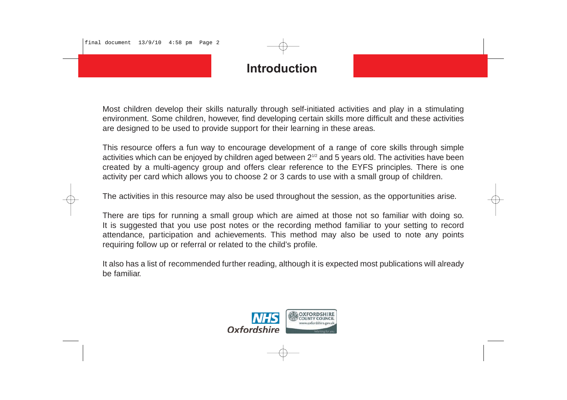# **Introduction**

Most children develop their skills naturally through self-initiated activities and play in a stimulating environment. Some children, however, find developing certain skills more difficult and these activities are designed to be used to provide support for their learning in these areas.

This resource offers a fun way to encourage development of a range of core skills through simple activities which can be enjoyed by children aged between 2<sup>1/2</sup> and 5 years old. The activities have been created by a multi-agency group and offers clear reference to the EYFS principles. There is one activity per card which allows you to choose 2 or 3 cards to use with a small group of children.

The activities in this resource may also be used throughout the session, as the opportunities arise.

There are tips for running a small group which are aimed at those not so familiar with doing so. It is suggested that you use post notes or the recording method familiar to your setting to record attendance, participation and achievements. This method may also be used to note any points requiring follow up or referral or related to the child's profile.

It also has a list of recommended further reading, although it is expected most publications will already be familiar.

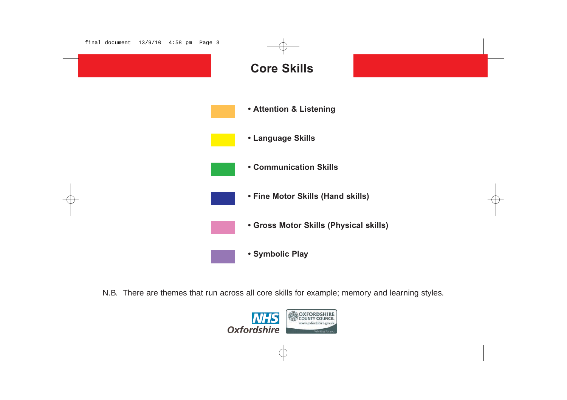

N.B. There are themes that run across all core skills for example; memory and learning styles.

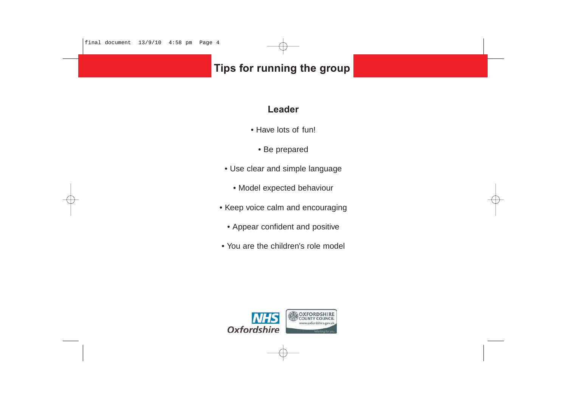# **Tips for running the group**

### **Leader**

- Have lots of fun!
	- Be prepared
- Use clear and simple language
	- Model expected behaviour
- Keep voice calm and encouraging
	- Appear confident and positive
- You are the children's role model

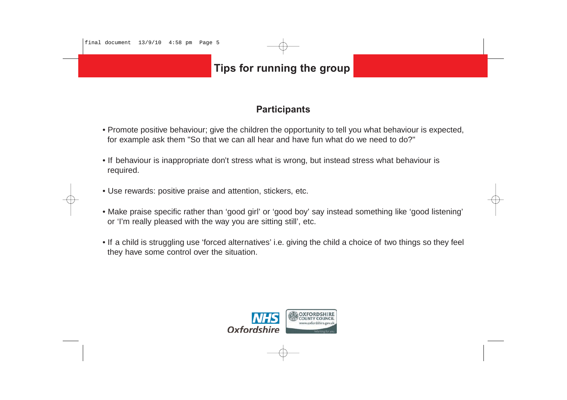# **Tips for running the group**

### **Participants**

- Promote positive behaviour; give the children the opportunity to tell you what behaviour is expected, for example ask them "So that we can all hear and have fun what do we need to do?"
- If behaviour is inappropriate don't stress what is wrong, but instead stress what behaviour is required.
- Use rewards: positive praise and attention, stickers, etc.
- Make praise specific rather than 'good girl' or 'good boy' say instead something like 'good listening' or 'I'm really pleased with the way you are sitting still', etc.
- If a child is struggling use 'forced alternatives' i.e. giving the child a choice of two things so they feel they have some control over the situation.

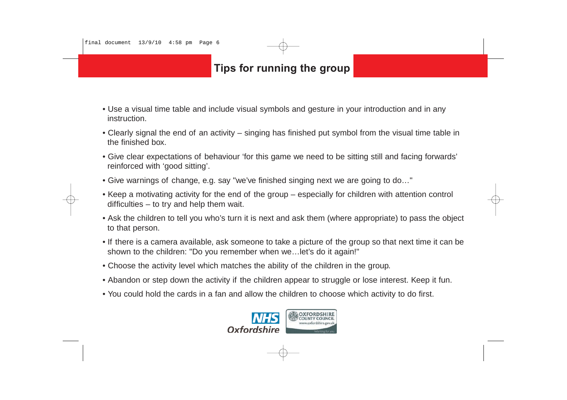# **Tips for running the group**

- Use a visual time table and include visual symbols and gesture in your introduction and in any instruction.
- Clearly signal the end of an activity singing has finished put symbol from the visual time table in the finished box.
- Give clear expectations of behaviour 'for this game we need to be sitting still and facing forwards' reinforced with 'good sitting'.
- Give warnings of change, e.g. say "we've finished singing next we are going to do…"
- Keep a motivating activity for the end of the group especially for children with attention control difficulties – to try and help them wait.
- Ask the children to tell you who's turn it is next and ask them (where appropriate) to pass the object to that person.
- If there is a camera available, ask someone to take a picture of the group so that next time it can be shown to the children: "Do you remember when we…let's do it again!"
- Choose the activity level which matches the ability of the children in the group.
- Abandon or step down the activity if the children appear to struggle or lose interest. Keep it fun.
- You could hold the cards in a fan and allow the children to choose which activity to do first.

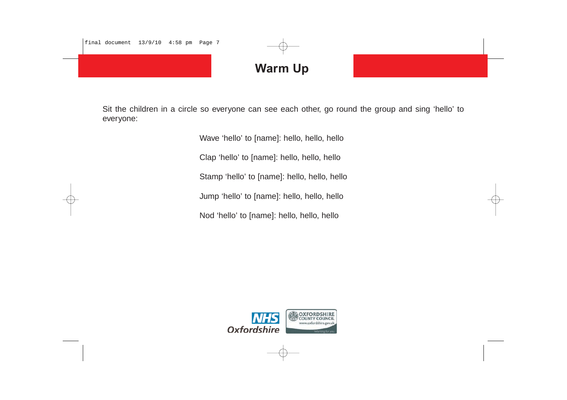

# **Warm Up**

Sit the children in a circle so everyone can see each other, go round the group and sing 'hello' to everyone:

> Wave 'hello' to [name]: hello, hello, hello Clap 'hello' to [name]: hello, hello, hello Stamp 'hello' to [name]: hello, hello, hello Jump 'hello' to [name]: hello, hello, hello Nod 'hello' to [name]: hello, hello, hello

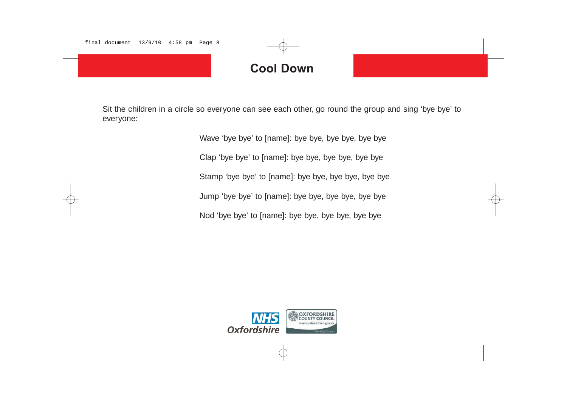# **Cool Down**

Sit the children in a circle so everyone can see each other, go round the group and sing 'bye bye' to everyone:

> Wave 'bye bye' to [name]: bye bye, bye bye, bye bye Clap 'bye bye' to [name]: bye bye, bye bye, bye bye Stamp 'bye bye' to [name]: bye bye, bye bye, bye bye Jump 'bye bye' to [name]: bye bye, bye bye, bye bye Nod 'bye bye' to [name]: bye bye, bye bye, bye bye

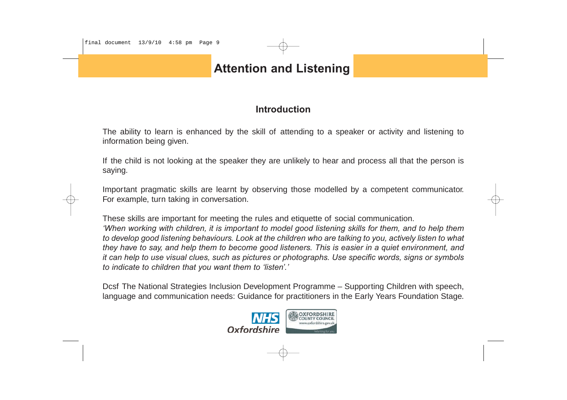# **Attention and Listening**

### **Introduction**

The ability to learn is enhanced by the skill of attending to a speaker or activity and listening to information being given.

If the child is not looking at the speaker they are unlikely to hear and process all that the person is saying.

Important pragmatic skills are learnt by observing those modelled by a competent communicator. For example, turn taking in conversation.

These skills are important for meeting the rules and etiquette of social communication. *'When working with children, it is important to model good listening skills for them, and to help them to develop good listening behaviours. Look at the children who are talking to you, actively listen to what they have to say, and help them to become good listeners. This is easier in a quiet environment, and it can help to use visual clues, such as pictures or photographs. Use specific words, signs or symbols to indicate to children that you want them to 'listen'.'*

Dcsf The National Strategies Inclusion Development Programme – Supporting Children with speech, language and communication needs: Guidance for practitioners in the Early Years Foundation Stage.

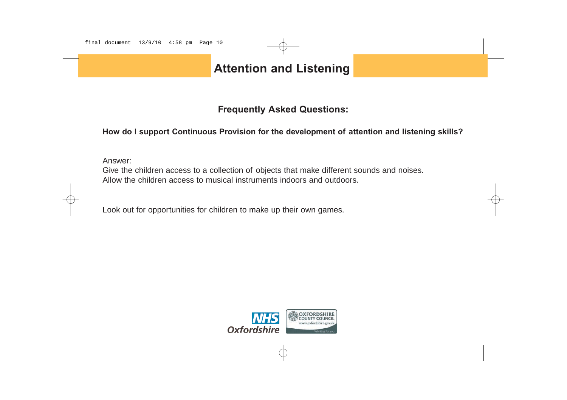# **Attention and Listening**

### **Frequently Asked Questions:**

### **How do I support Continuous Provision for the development of attention and listening skills?**

Answer:

Give the children access to a collection of objects that make different sounds and noises. Allow the children access to musical instruments indoors and outdoors.

Look out for opportunities for children to make up their own games.

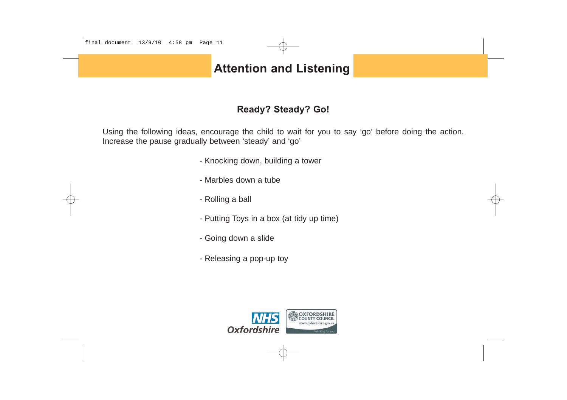# **Attention and Listening**

## **Ready? Steady? Go!**

Using the following ideas, encourage the child to wait for you to say 'go' before doing the action. Increase the pause gradually between 'steady' and 'go'

- Knocking down, building a tower
- Marbles down a tube
- Rolling a ball
- Putting Toys in a box (at tidy up time)
- Going down a slide
- Releasing a pop-up toy

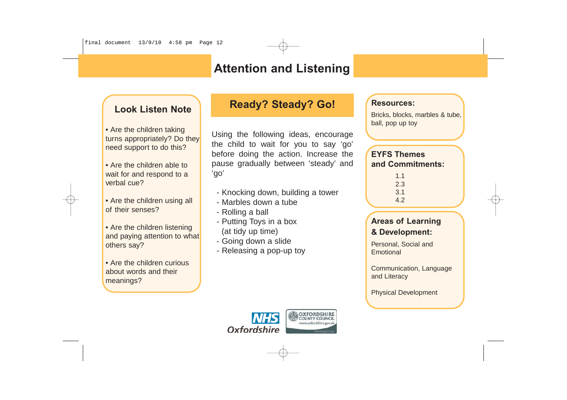### **Look Listen Note**

• Are the children taking turns appropriately? Do they need support to do this?

• Are the children able to wait for and respond to a verbal cue?

• Are the children using all of their senses?

• Are the children listening and paying attention to what others say?

• Are the children curious about words and their meanings?

# **Ready? Steady? Go!**

Using the following ideas, encourage the child to wait for you to say 'go' before doing the action. Increase the pause gradually between 'steady' and 'go'

- Knocking down, building a tower
- Marbles down a tube
- Rolling a ball
- Putting Toys in a box (at tidy up time)
- Going down a slide
- Releasing a pop-up toy

#### **Resources:**

Bricks, blocks, marbles & tube, ball, pop up toy

#### **EYFS Themes and Commitments:**

| 1.1 |
|-----|
| 2.3 |
| 3.1 |
| 4.Z |

#### **Areas of Learning & Development:**

Personal, Social and Emotional

Communication, Language and Literacy

Physical Development

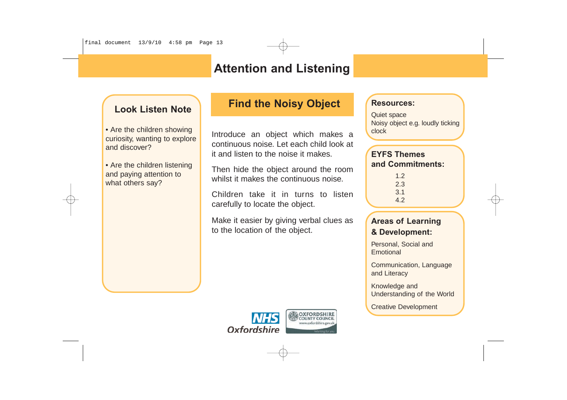### **Look Listen Note**

• Are the children showing curiosity, wanting to explore and discover?

• Are the children listening and paying attention to what others say?

# **Find the Noisy Object**

Introduce an object which makes a continuous noise. Let each child look at it and listen to the noise it makes.

Then hide the object around the room whilst it makes the continuous noise.

Children take it in turns to listen carefully to locate the object.

Make it easier by giving verbal clues as to the location of the object.

#### **OXFORDSHIRE NHS** Oxfordshire

### **Resources:**

Quiet space Noisy object e.g. loudly ticking clock

#### **EYFS Themes and Commitments:**

1.2 2.3 3.1 4.2

#### **Areas of Learning & Development:**

Personal, Social and Emotional

Communication, Language and Literacy

Knowledge and Understanding of the World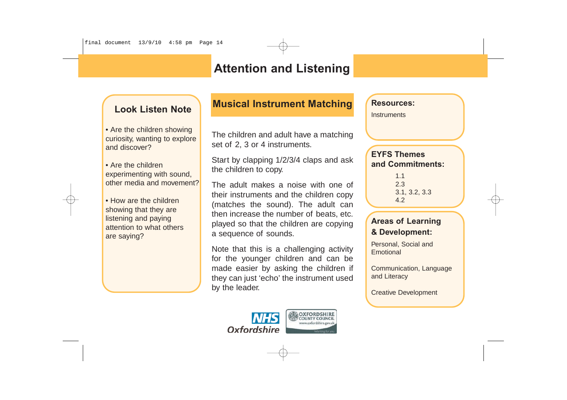## **Look Listen Note**

• Are the children showing curiosity, wanting to explore and discover?

• Are the children experimenting with sound, other media and movement?

• How are the children showing that they are listening and paying attention to what others are saying?

# **Musical Instrument Matching**

The children and adult have a matching set of 2, 3 or 4 instruments.

Start by clapping 1/2/3/4 claps and ask the children to copy.

The adult makes a noise with one of their instruments and the children copy (matches the sound). The adult can then increase the number of beats, etc. played so that the children are copying a sequence of sounds.

Note that this is a challenging activity for the younger children and can be made easier by asking the children if they can just 'echo' the instrument used by the leader.



#### **Resources:**

**Instruments** 

### **EYFS Themes and Commitments:**

1.1 2.3 3.1, 3.2, 3.3 4.2

#### **Areas of Learning & Development:**

Personal, Social and Emotional

Communication, Language and Literacy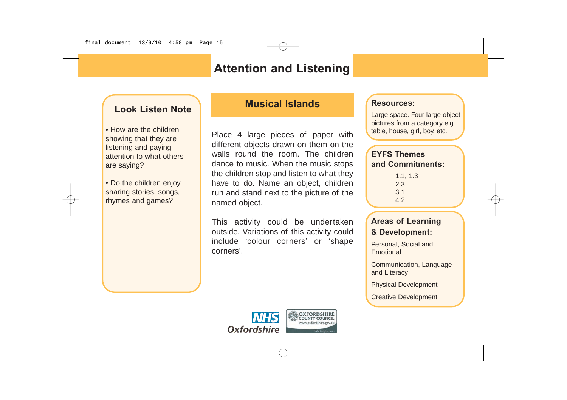## **Look Listen Note**

• How are the children showing that they are listening and paying attention to what others are saying?

• Do the children enjoy sharing stories, songs, rhymes and games?

# **Musical Islands**

Place 4 large pieces of paper with different objects drawn on them on the walls round the room. The children dance to music. When the music stops the children stop and listen to what they have to do. Name an object, children run and stand next to the picture of the named object.

This activity could be undertaken outside. Variations of this activity could include 'colour corners' or 'shape corners'.

#### **Resources:**

Large space. Four large object pictures from a category e.g. table, house, girl, boy, etc.

#### **EYFS Themes and Commitments:**

1.1, 1.3 2.3 3.1 4.2

#### **Areas of Learning & Development:**

Personal, Social and Emotional

Communication, Language and Literacy

Physical Development

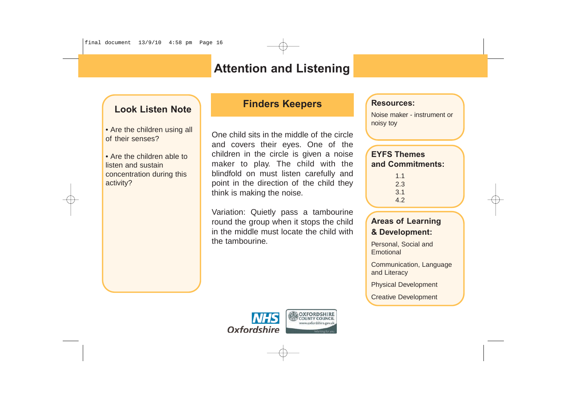# **Look Listen Note**

• Are the children using all of their senses?

• Are the children able to listen and sustain concentration during this activity?

# **Finders Keepers**

One child sits in the middle of the circle and covers their eyes. One of the children in the circle is given a noise maker to play. The child with the blindfold on must listen carefully and point in the direction of the child they think is making the noise.

Variation: Quietly pass a tambourine round the group when it stops the child in the middle must locate the child with the tambourine.

#### **Resources:**

Noise maker - instrument or noisy toy

### **EYFS Themes and Commitments:**

| 1.1 |  |
|-----|--|
| 2.3 |  |
| 3.1 |  |
| 4.2 |  |

#### **Areas of Learning & Development:**

Personal, Social and Emotional

Communication, Language and Literacy

Physical Development

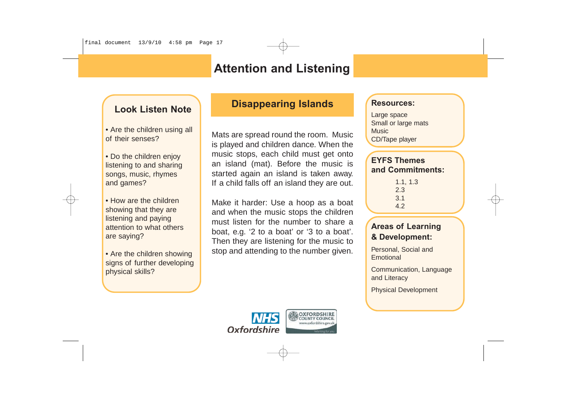## **Look Listen Note**

• Are the children using all of their senses?

• Do the children enjoy listening to and sharing songs, music, rhymes and games?

• How are the children showing that they are listening and paying attention to what others are saying?

• Are the children showing signs of further developing physical skills?

# **Disappearing Islands Resources:**

Mats are spread round the room. Music is played and children dance. When the music stops, each child must get onto an island (mat). Before the music is started again an island is taken away. If a child falls off an island they are out.

Make it harder: Use a hoop as a boat and when the music stops the children must listen for the number to share a boat, e.g. '2 to a boat' or '3 to a boat'. Then they are listening for the music to stop and attending to the number given.

# **OXFORDSHIRE** Oxfordshire

Large space Small or large mats Music CD/Tape player

#### **EYFS Themes and Commitments:**

| 1.1, 1.3 |  |
|----------|--|
| 2.3      |  |
| 3.1      |  |
| 4.2      |  |

### **Areas of Learning & Development:**

Personal, Social and **Emotional** 

Communication, Language and Literacy

Physical Development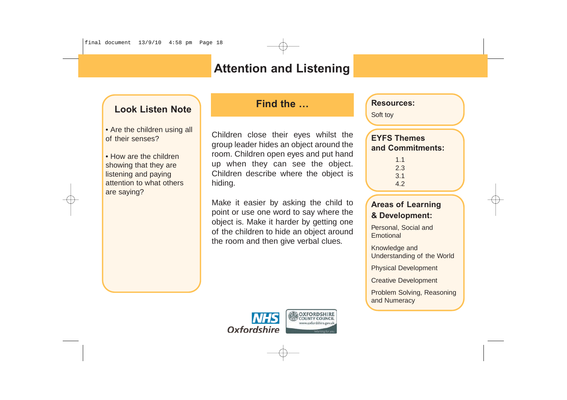## **Look Listen Note**

• Are the children using all of their senses?

• How are the children showing that they are listening and paying attention to what others are saying?

# **Find the …**

Children close their eyes whilst the group leader hides an object around the room. Children open eyes and put hand up when they can see the object. Children describe where the object is hiding.

Make it easier by asking the child to point or use one word to say where the object is. Make it harder by getting one of the children to hide an object around the room and then give verbal clues.

## **OXFORDSHIRE NHS**

### **Resources:**

Soft toy

#### **EYFS Themes and Commitments:**

1.1 2.3 3.1

4.2

#### **Areas of Learning & Development:**

Personal, Social and **Emotional** 

Knowledge and Understanding of the World

Physical Development

Creative Development

Problem Solving, Reasoning and Numeracy

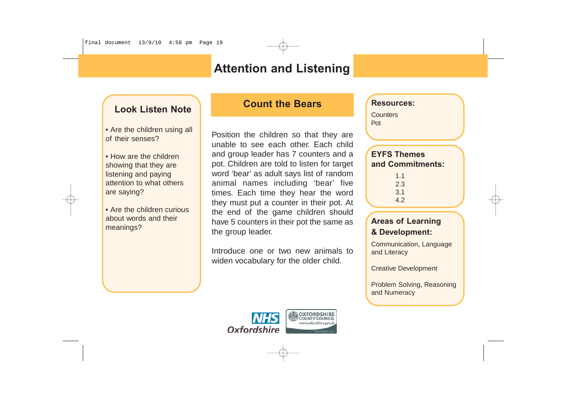# **Look Listen Note**

• Are the children using all of their senses?

• How are the children showing that they are listening and paying attention to what others are saying?

• Are the children curious about words and their meanings?

# **Count the Bears**

Position the children so that they are unable to see each other. Each child and group leader has 7 counters and a pot. Children are told to listen for target word 'bear' as adult says list of random animal names including 'bear' five times. Each time they hear the word they must put a counter in their pot. At the end of the game children should have 5 counters in their pot the same as the group leader.

Introduce one or two new animals to widen vocabulary for the older child.



**Counters** Pot

#### **EYFS Themes and Commitments:**

1.1 2.3 3.1 4.2

#### **Areas of Learning & Development:**

Communication, Language and Literacy

Creative Development

Problem Solving, Reasoning and Numeracy

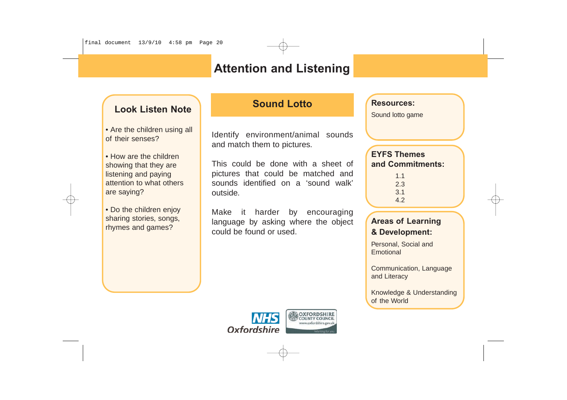## **Look Listen Note**

• Are the children using all of their senses?

• How are the children showing that they are listening and paying attention to what others are saying?

• Do the children enjoy sharing stories, songs, rhymes and games?

# **Sound Lotto**

Identify environment/animal sounds and match them to pictures.

This could be done with a sheet of pictures that could be matched and sounds identified on a 'sound walk' outside.

Make it harder by encouraging language by asking where the object could be found or used.

#### **Resources:**

Sound lotto game

### **EYFS Themes and Commitments:**

1.1 2.3 3.1 4.2

#### **Areas of Learning & Development:**

Personal, Social and Emotional

Communication, Language and Literacy

Knowledge & Understanding of the World

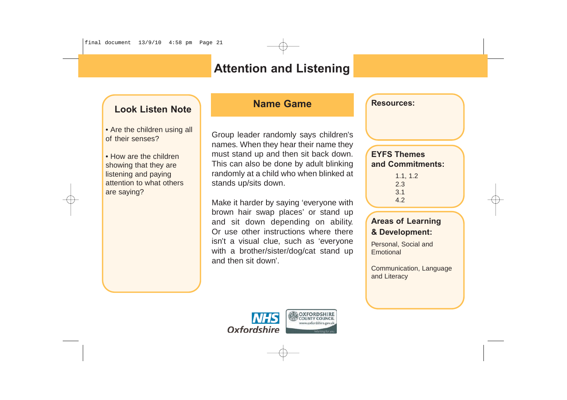## **Look Listen Note**

• Are the children using all of their senses?

• How are the children showing that they are listening and paying attention to what others are saying?

# **Name Game**

Group leader randomly says children's names. When they hear their name they must stand up and then sit back down. This can also be done by adult blinking randomly at a child who when blinked at stands up/sits down.

Make it harder by saying 'everyone with brown hair swap places' or stand up and sit down depending on ability. Or use other instructions where there isn't a visual clue, such as 'everyone with a brother/sister/dog/cat stand up and then sit down'.

# **Resources:**

### **EYFS Themes and Commitments:**

1.1, 1.2 2.3 3.1 4.2

#### **Areas of Learning & Development:**

Personal, Social and Emotional

Communication, Language and Literacy

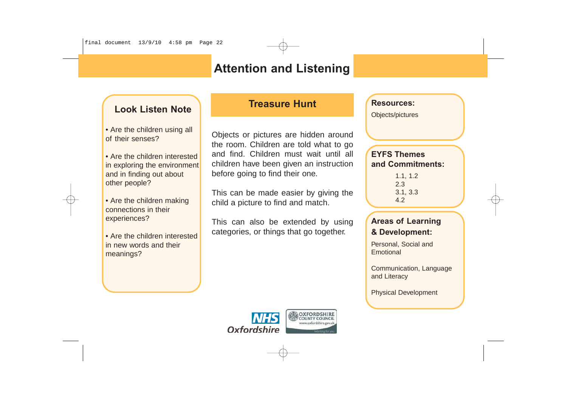## **Look Listen Note**

• Are the children using all of their senses?

• Are the children interested in exploring the environment and in finding out about other people?

• Are the children making connections in their experiences?

• Are the children interested in new words and their meanings?

# **Treasure Hunt**

Objects or pictures are hidden around the room. Children are told what to go and find. Children must wait until all children have been given an instruction before going to find their one.

This can be made easier by giving the child a picture to find and match.

This can also be extended by using categories, or things that go together.

#### **Resources:**

Objects/pictures

### **EYFS Themes and Commitments:**

1.1, 1.2 2.3 3.1, 3.3 4.2

#### **Areas of Learning & Development:**

Personal, Social and Emotional

Communication, Language and Literacy

Physical Development

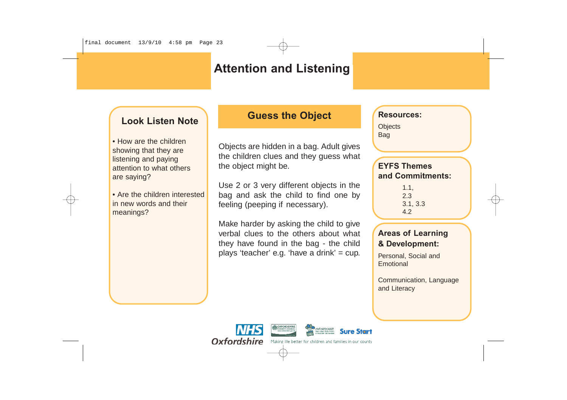### **Look Listen Note**

• How are the children showing that they are listening and paying attention to what others are saying?

• Are the children interested in new words and their meanings?

### **Guess the Object**

Objects are hidden in a bag. Adult gives the children clues and they guess what the object might be.

Use 2 or 3 very different objects in the bag and ask the child to find one by feeling (peeping if necessary).

Make harder by asking the child to give verbal clues to the others about what they have found in the bag - the child plays 'teacher' e.g. 'have a drink' = cup.

#### **Resources:**

**Objects** Bag

#### **EYFS Themes and Commitments:**

1.1, 2.3 3.1, 3.3 4.2

### **Areas of Learning & Development:**

Personal, Social and **Emotional** 

Communication, Language and Literacy

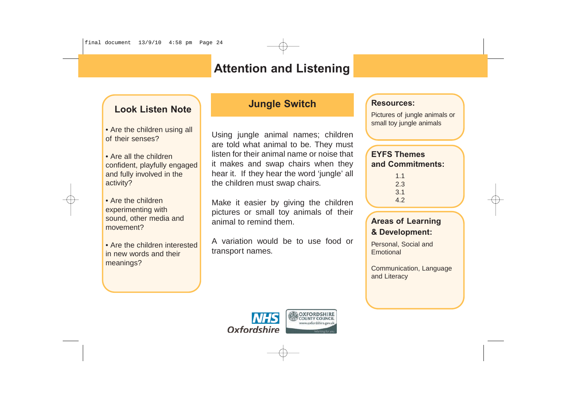## **Look Listen Note**

• Are the children using all of their senses?



• Are the children experimenting with sound, other media and movement?

• Are the children interested in new words and their meanings?

# **Jungle Switch**

Using jungle animal names; children are told what animal to be. They must listen for their animal name or noise that it makes and swap chairs when they hear it. If they hear the word 'jungle' all the children must swap chairs.

Make it easier by giving the children pictures or small toy animals of their animal to remind them.

A variation would be to use food or transport names.

#### **Resources:**

Pictures of jungle animals or small toy jungle animals

#### **EYFS Themes and Commitments:**

1.1 2.3 3.1 4.2

#### **Areas of Learning & Development:**

Personal, Social and Emotional

Communication, Language and Literacy

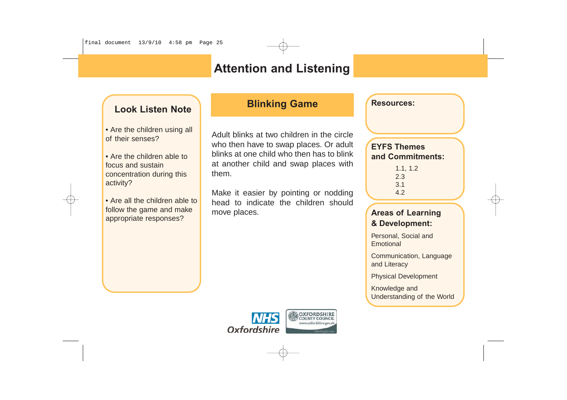### **Look Listen Note**

• Are the children using all of their senses?

• Are the children able to focus and sustain concentration during this activity?

• Are all the children able to follow the game and make appropriate responses?

# **Blinking Game**

Adult blinks at two children in the circle who then have to swap places. Or adult blinks at one child who then has to blink at another child and swap places with them.

Make it easier by pointing or nodding head to indicate the children should move places.

**Resources:**

#### **EYFS Themes and Commitments:**

1.1, 1.2 2.3 3.1 4.2

#### **Areas of Learning & Development:**

Personal, Social and **Emotional** 

Communication, Language and Literacy

Physical Development

Knowledge and Understanding of the World

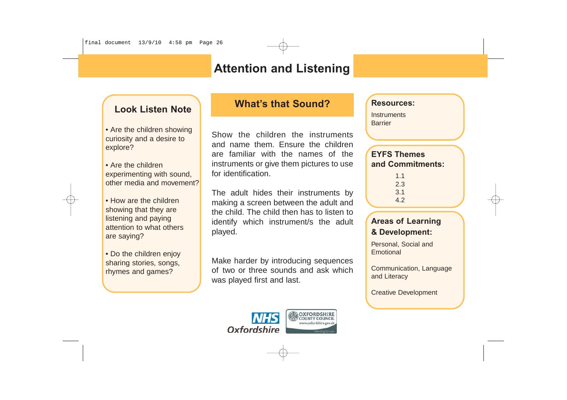## **Look Listen Note**

• Are the children showing curiosity and a desire to explore?

• Are the children experimenting with sound, other media and movement?

• How are the children showing that they are listening and paying attention to what others are saying?

• Do the children enjoy sharing stories, songs, rhymes and games?

### **What's that Sound?**

Show the children the instruments and name them. Ensure the children are familiar with the names of the instruments or give them pictures to use for identification.

The adult hides their instruments by making a screen between the adult and the child. The child then has to listen to identify which instrument/s the adult played.

Make harder by introducing sequences of two or three sounds and ask which was played first and last.



#### **Resources:**

**Instruments Barrier** 

### **EYFS Themes and Commitments:**

1.1 2.3 3.1 4.2

#### **Areas of Learning & Development:**

Personal, Social and Emotional

Communication, Language and Literacy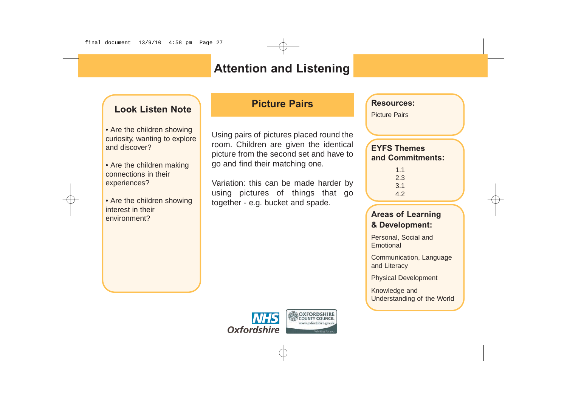## **Look Listen Note**

• Are the children showing curiosity, wanting to explore and discover?

• Are the children making connections in their experiences?

• Are the children showing interest in their environment?

# **Picture Pairs**

Using pairs of pictures placed round the room. Children are given the identical picture from the second set and have to go and find their matching one.

Variation: this can be made harder by using pictures of things that go together - e.g. bucket and spade.

#### **Resources:**

Picture Pairs

#### **EYFS Themes and Commitments:**

| 11  |
|-----|
| 23  |
| 3.1 |
| 4.2 |

#### **Areas of Learning & Development:**

Personal, Social and **Emotional** 

Communication, Language and Literacy

Physical Development

Knowledge and Understanding of the World

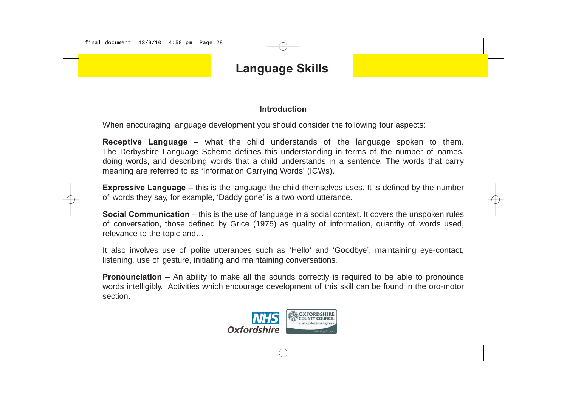# **Language Skills**

#### **Introduction**

When encouraging language development you should consider the following four aspects:

**Receptive Language** – what the child understands of the language spoken to them. The Derbyshire Language Scheme defines this understanding in terms of the number of names, doing words, and describing words that a child understands in a sentence. The words that carry meaning are referred to as 'Information Carrying Words' (ICWs).

**Expressive Language** – this is the language the child themselves uses. It is defined by the number of words they say, for example, 'Daddy gone' is a two word utterance.

**Social Communication** – this is the use of language in a social context. It covers the unspoken rules of conversation, those defined by Grice (1975) as quality of information, quantity of words used, relevance to the topic and…

It also involves use of polite utterances such as 'Hello' and 'Goodbye', maintaining eye-contact, listening, use of gesture, initiating and maintaining conversations.

**Pronounciation** – An ability to make all the sounds correctly is required to be able to pronounce words intelligibly. Activities which encourage development of this skill can be found in the oro-motor section.

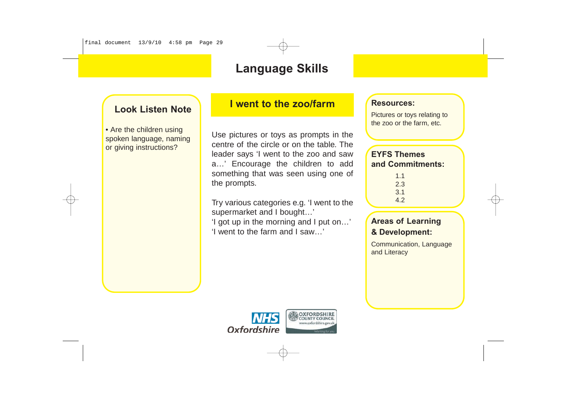## **Look Listen Note**

• Are the children using spoken language, naming or giving instructions?

### **I went to the zoo/farm**

Use pictures or toys as prompts in the centre of the circle or on the table. The leader says 'I went to the zoo and saw a…' Encourage the children to add something that was seen using one of the prompts.

Try various categories e.g. 'I went to the supermarket and I bought…' 'I got up in the morning and I put on…'

'I went to the farm and I saw…'

#### **Resources:**

Pictures or toys relating to the zoo or the farm, etc.

#### **EYFS Themes and Commitments:**

| 1.1 |
|-----|
| 23  |
| 3.1 |
| 4.2 |

#### **Areas of Learning & Development:**

Communication, Language and Literacy

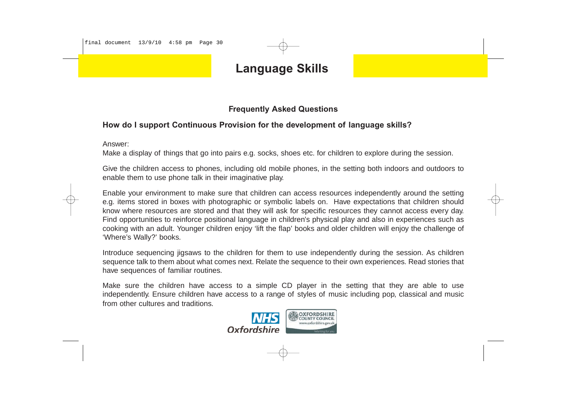# **Language Skills**

#### **Frequently Asked Questions**

#### **How do I support Continuous Provision for the development of language skills?**

Answer:

Make a display of things that go into pairs e.g. socks, shoes etc. for children to explore during the session.

Give the children access to phones, including old mobile phones, in the setting both indoors and outdoors to enable them to use phone talk in their imaginative play.

Enable your environment to make sure that children can access resources independently around the setting e.g. items stored in boxes with photographic or symbolic labels on. Have expectations that children should know where resources are stored and that they will ask for specific resources they cannot access every day. Find opportunities to reinforce positional language in children's physical play and also in experiences such as cooking with an adult. Younger children enjoy 'lift the flap' books and older children will enjoy the challenge of 'Where's Wally?' books.

Introduce sequencing jigsaws to the children for them to use independently during the session. As children sequence talk to them about what comes next. Relate the sequence to their own experiences. Read stories that have sequences of familiar routines.

Make sure the children have access to a simple CD player in the setting that they are able to use independently. Ensure children have access to a range of styles of music including pop, classical and music from other cultures and traditions.

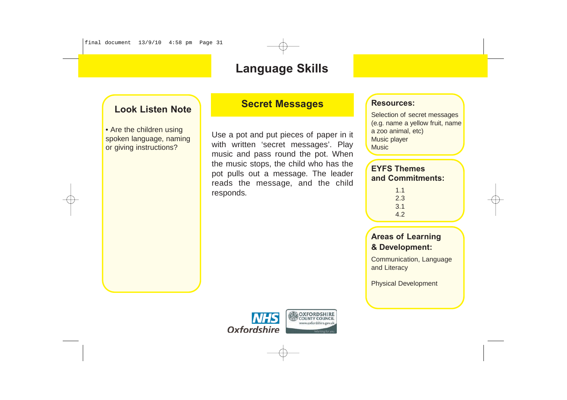## **Look Listen Note**

• Are the children using spoken language, naming or giving instructions?

### **Secret Messages Alle Resources:**

Use a pot and put pieces of paper in it with written 'secret messages'. Play music and pass round the pot. When the music stops, the child who has the pot pulls out a message. The leader reads the message, and the child responds.

Selection of secret messages (e.g. name a yellow fruit, name a zoo animal, etc) Music player **Music** 

#### **EYFS Themes and Commitments:**

1.1 2.3 3.1 4.2

### **Areas of Learning & Development:**

Communication, Language and Literacy

Physical Development

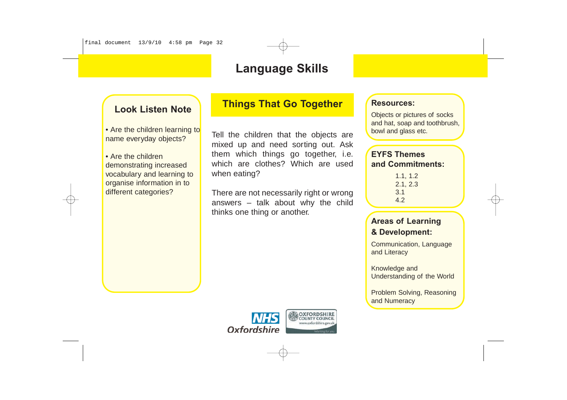### **Look Listen Note**

• Are the children learning to name everyday objects?

• Are the children demonstrating increased vocabulary and learning to organise information in to different categories?

# **Things That Go Together**

Tell the children that the objects are mixed up and need sorting out. Ask them which things go together, i.e. which are clothes? Which are used when eating?

There are not necessarily right or wrong answers – talk about why the child thinks one thing or another.

#### **Resources:**

Objects or pictures of socks and hat, soap and toothbrush, bowl and glass etc.

#### **EYFS Themes and Commitments:**

1.1, 1.2 2.1, 2.3 3.1 4.2

#### **Areas of Learning & Development:**

Communication, Language and Literacy

Knowledge and Understanding of the World

Problem Solving, Reasoning and Numeracy

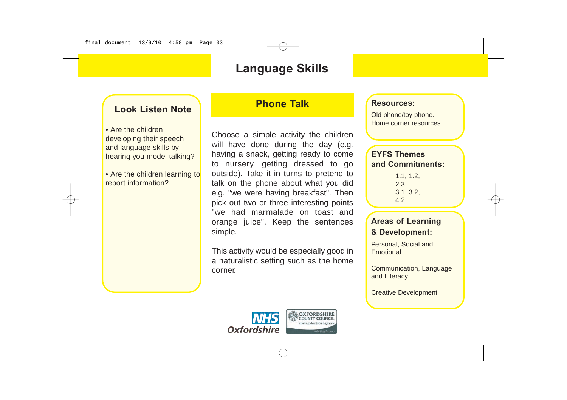### **Look Listen Note**

• Are the children developing their speech and language skills by hearing you model talking?

• Are the children learning to report information?

# **Phone Talk**

Choose a simple activity the children will have done during the day (e.g. having a snack, getting ready to come to nursery, getting dressed to go outside). Take it in turns to pretend to talk on the phone about what you did e.g. "we were having breakfast". Then pick out two or three interesting points "we had marmalade on toast and orange juice". Keep the sentences simple.

This activity would be especially good in a naturalistic setting such as the home corner.



#### **Resources:**

Old phone/toy phone. Home corner resources.

#### **EYFS Themes and Commitments:**

1.1, 1.2, 2.3 3.1, 3.2, 4.2

#### **Areas of Learning & Development:**

Personal, Social and **Emotional** 

Communication, Language and Literacy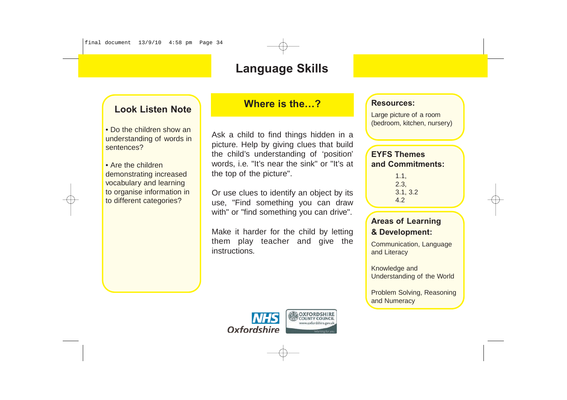### **Look Listen Note**

• Do the children show an understanding of words in sentences?

• Are the children demonstrating increased vocabulary and learning to organise information in to different categories?

### **Where is the…?**

Ask a child to find things hidden in a picture. Help by giving clues that build the child's understanding of 'position' words, i.e. "It's near the sink" or "It's at the top of the picture".

Or use clues to identify an object by its use, "Find something you can draw with" or "find something you can drive".

Make it harder for the child by letting them play teacher and give the instructions.



#### **Resources:**

Large picture of a room (bedroom, kitchen, nursery)

#### **EYFS Themes and Commitments:**

1.1, 2.3, 3.1, 3.2 4.2

#### **Areas of Learning & Development:**

Communication, Language and Literacy

Knowledge and Understanding of the World

Problem Solving, Reasoning and Numeracy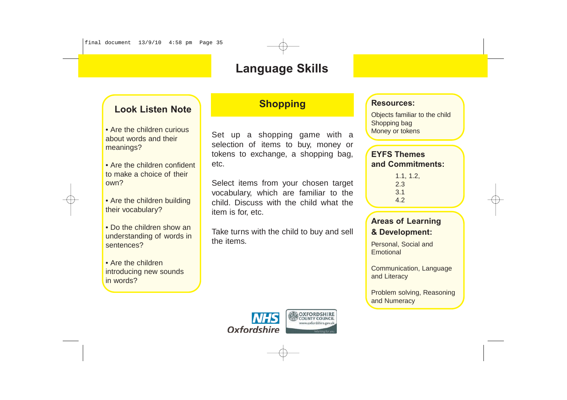## **Look Listen Note**

• Are the children curious about words and their meanings?

• Are the children confident to make a choice of their own?

• Are the children building their vocabulary?

• Do the children show an understanding of words in sentences?

• Are the children introducing new sounds in words?

# **Shopping**

Set up a shopping game with a selection of items to buy, money or tokens to exchange, a shopping bag, etc.

Select items from your chosen target vocabulary, which are familiar to the child. Discuss with the child what the item is for, etc.

Take turns with the child to buy and sell the items.

# **NHS Oxfordshire**



#### **Resources:**

Objects familiar to the child Shopping bag Money or tokens

#### **EYFS Themes and Commitments:**

1.1, 1.2, 2.3 3.1 4.2

#### **Areas of Learning & Development:**

Personal, Social and **Emotional** 

Communication, Language and Literacy

Problem solving, Reasoning and Numeracy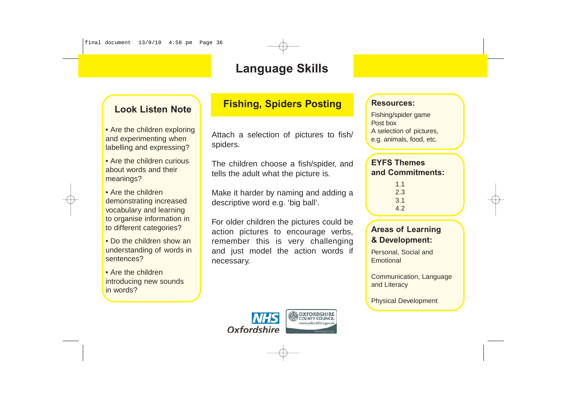### **Look Listen Note**

• Are the children exploring and experimenting when labelling and expressing?

• Are the children curious about words and their meanings?

• Are the children demonstrating increased vocabulary and learning to organise information in to different categories?

• Do the children show an understanding of words in sentences?

• Are the children introducing new sounds in words?

# **Fishing, Spiders Posting**

Attach a selection of pictures to fish/ spiders.

The children choose a fish/spider, and tells the adult what the picture is.

Make it harder by naming and adding a descriptive word e.g. 'big ball'.

For older children the pictures could be action pictures to encourage verbs, remember this is very challenging and just model the action words if necessary.



#### **Resources:**

Fishing/spider game Post box A selection of pictures, e.g. animals, food, etc.

#### **EYFS Themes and Commitments:**

|  | 1.1 |
|--|-----|
|  | 2.3 |
|  | 3.1 |
|  | 4.2 |

### **Areas of Learning & Development:**

Personal, Social and **Emotional** 

Communication, Language and Literacy

Physical Development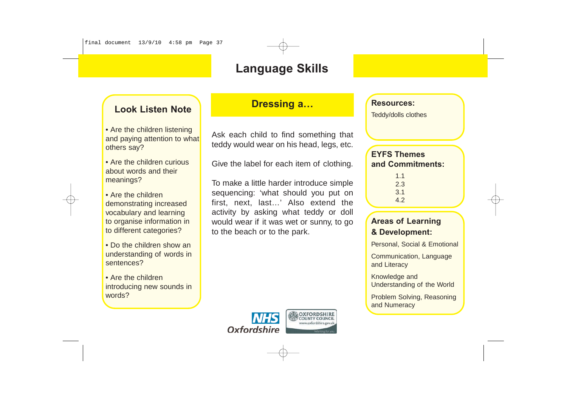#### **Look Listen Note**

• Are the children listening and paying attention to what others say?

• Are the children curious about words and their meanings?

• Are the children demonstrating increased vocabulary and learning to organise information in to different categories?

• Do the children show an understanding of words in sentences?

• Are the children introducing new sounds in words?

### **Dressing a…**

Ask each child to find something that teddy would wear on his head, legs, etc.

Give the label for each item of clothing.

To make a little harder introduce simple sequencing: 'what should you put on first, next, last…' Also extend the activity by asking what teddy or doll would wear if it was wet or sunny, to go to the beach or to the park.



#### **Resources:**

Teddy/dolls clothes

#### **EYFS Themes and Commitments:**

1.1 2.3 3.1 4.2

#### **Areas of Learning & Development:**

Personal, Social & Emotional

Communication, Language and Literacy

Knowledge and Understanding of the World

Problem Solving, Reasoning and Numeracy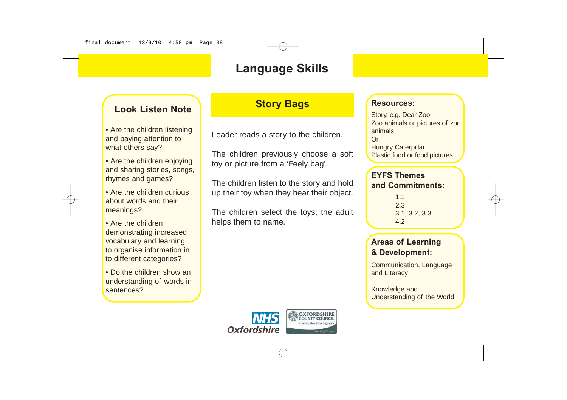#### **Look Listen Note**

• Are the children listening and paying attention to what others say?

• Are the children enjoying and sharing stories, songs, rhymes and games?

• Are the children curious about words and their meanings?

• Are the children demonstrating increased vocabulary and learning to organise information in to different categories?

• Do the children show an understanding of words in sentences?

### **Story Bags The Resources:**

Leader reads a story to the children.

The children previously choose a soft toy or picture from a 'Feely bag'.

The children listen to the story and hold up their toy when they hear their object.

The children select the toys; the adult helps them to name.



Story, e.g. Dear Zoo Zoo animals or pictures of zoo animals Or **Hungry Caterpillar** Plastic food or food pictures

#### **EYFS Themes**

**and Commitments:**

1.1 2.3 3.1, 3.2, 3.3 4.2

#### **Areas of Learning & Development:**

Communication, Language and Literacy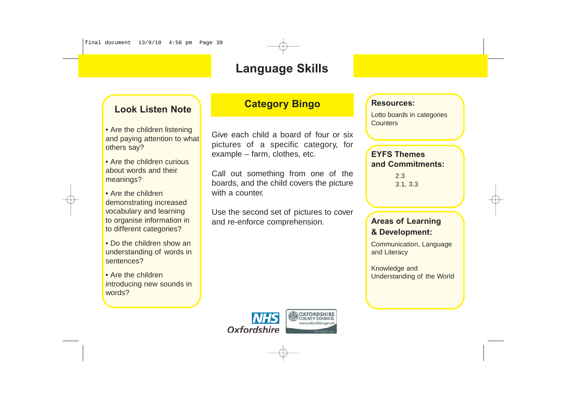#### **Look Listen Note**

• Are the children listening and paying attention to what others say?

• Are the children curious about words and their meanings?

• Are the children demonstrating increased vocabulary and learning to organise information in to different categories?

• Do the children show an understanding of words in sentences?

• Are the children introducing new sounds in words?

### **Category Bingo**

Give each child a board of four or six pictures of a specific category, for example – farm, clothes, etc.

Call out something from one of the boards, and the child covers the picture with a counter.

Use the second set of pictures to cover and re-enforce comprehension.



Lotto boards in categories **Counters** 

#### **EYFS Themes and Commitments:**

2.3 3.1, 3.3

#### **Areas of Learning & Development:**

Communication, Language and Literacy

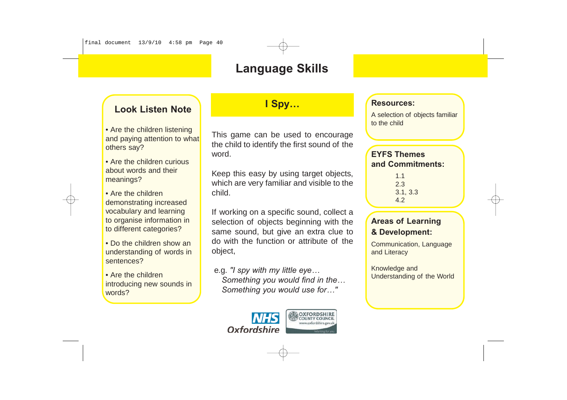#### **Look Listen Note**

• Are the children listening and paying attention to what others say?

• Are the children curious about words and their meanings?

• Are the children demonstrating increased vocabulary and learning to organise information in to different categories?

• Do the children show an understanding of words in sentences?

• Are the children introducing new sounds in words?

### **I Spy…**

This game can be used to encourage the child to identify the first sound of the word.

Keep this easy by using target objects, which are very familiar and visible to the child.

If working on a specific sound, collect a selection of objects beginning with the same sound, but give an extra clue to do with the function or attribute of the object,

e.g. *"I spy with my little eye… Something you would find in the… Something you would use for…"*



#### **Resources:**

A selection of objects familiar to the child

#### **EYFS Themes and Commitments:**

1.1 2.3 3.1, 3.3 4.2

#### **Areas of Learning & Development:**

Communication, Language and Literacy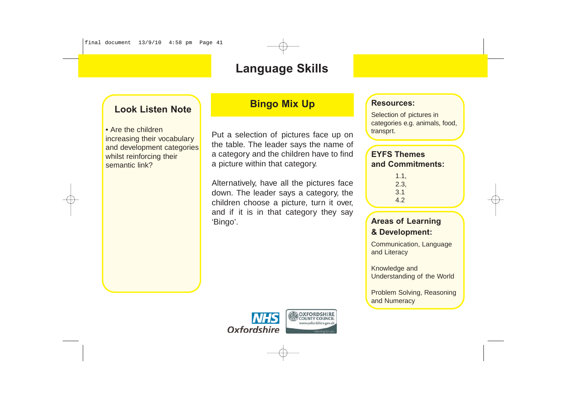#### **Look Listen Note**

• Are the children increasing their vocabulary and development categories whilst reinforcing their semantic link?

#### **Bingo Mix Up**

Put a selection of pictures face up on the table. The leader says the name of a category and the children have to find a picture within that category.

Alternatively, have all the pictures face down. The leader says a category, the children choose a picture, turn it over, and if it is in that category they say 'Bingo'.

#### **Resources:**

Selection of pictures in categories e.g. animals, food, transprt.

#### **EYFS Themes and Commitments:**

1.1, 2.3, 3.1 4.2

#### **Areas of Learning & Development:**

Communication, Language and Literacy

Knowledge and Understanding of the World

Problem Solving, Reasoning and Numeracy

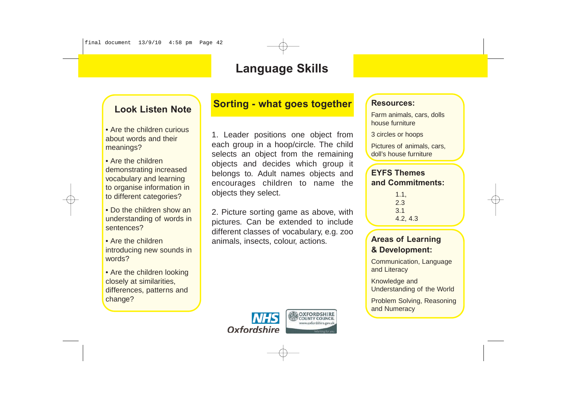#### **Look Listen Note**

• Are the children curious about words and their meanings?

• Are the children demonstrating increased vocabulary and learning to organise information in to different categories?

• Do the children show an understanding of words in sentences?

• Are the children introducing new sounds in words?

• Are the children looking closely at similarities, differences, patterns and change?

#### **Sorting - what goes together (Resources:**

1. Leader positions one object from each group in a hoop/circle. The child selects an object from the remaining objects and decides which group it belongs to. Adult names objects and encourages children to name the objects they select.

2. Picture sorting game as above, with pictures. Can be extended to include different classes of vocabulary, e.g. zoo animals, insects, colour, actions. **Areas of Learning** 



Farm animals, cars, dolls house furniture

3 circles or hoops

Pictures of animals, cars, doll's house furniture

#### **EYFS Themes and Commitments:**

1.1, 2.3 3.1 4.2, 4.3

## **& Development:**

Communication, Language and Literacy

Knowledge and Understanding of the World

Problem Solving, Reasoning and Numeracy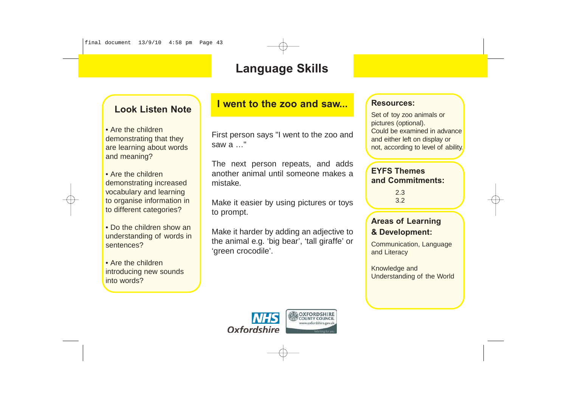#### **Look Listen Note**

• Are the children demonstrating that they are learning about words and meaning?

• Are the children demonstrating increased vocabulary and learning to organise information in to different categories?

• Do the children show an understanding of words in sentences?

• Are the children introducing new sounds into words?

#### **I went to the zoo and saw...**

First person says "I went to the zoo and saw a …"

The next person repeats, and adds another animal until someone makes a mistake.

Make it easier by using pictures or toys to prompt.

Make it harder by adding an adjective to the animal e.g. 'big bear', 'tall giraffe' or 'green crocodile'.

#### **Resources:**

Set of toy zoo animals or pictures (optional). Could be examined in advance and either left on display or not, according to level of ability.

#### **EYFS Themes and Commitments:**

2.3 3.2

#### **Areas of Learning & Development:**

Communication, Language and Literacy

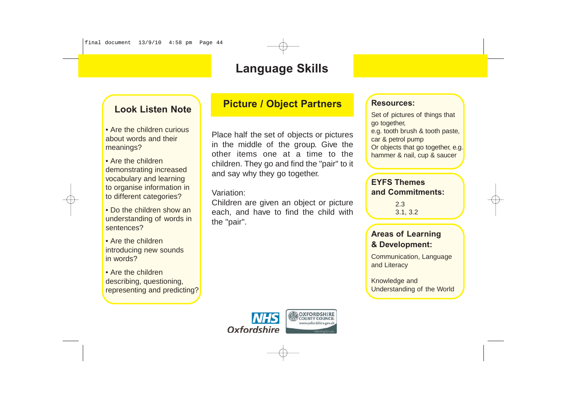#### **Look Listen Note**

• Are the children curious about words and their meanings?

• Are the children demonstrating increased vocabulary and learning to organise information in to different categories?

• Do the children show an understanding of words in sentences?

• Are the children introducing new sounds in words?

• Are the children describing, questioning, representing and predicting?

#### **Picture / Object Partners**

Place half the set of objects or pictures in the middle of the group. Give the other items one at a time to the children. They go and find the "pair" to it and say why they go together.

Variation:

Children are given an object or picture each, and have to find the child with the "pair".



Set of pictures of things that go together, e.g. tooth brush & tooth paste, car & petrol pump Or objects that go together, e.g. hammer & nail, cup & saucer

#### **EYFS Themes and Commitments:**

2.3 3.1, 3.2

#### **Areas of Learning & Development:**

Communication, Language and Literacy

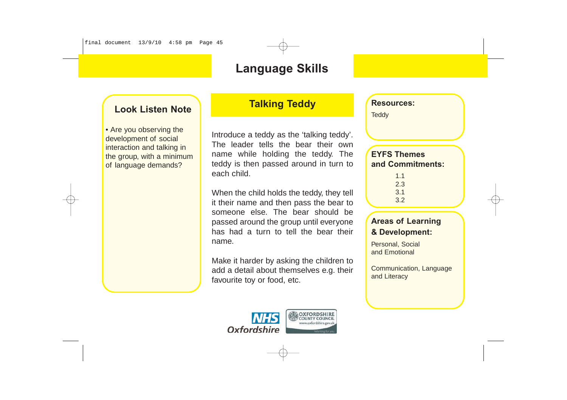#### **Look Listen Note**

• Are you observing the development of social interaction and talking in the group, with a minimum of language demands?

#### **Talking Teddy**

Introduce a teddy as the 'talking teddy'. The leader tells the bear their own name while holding the teddy. The teddy is then passed around in turn to each child.

When the child holds the teddy, they tell it their name and then pass the bear to someone else. The bear should be passed around the group until everyone has had a turn to tell the bear their name.

Make it harder by asking the children to add a detail about themselves e.g. their favourite toy or food, etc.



#### **Resources:**

**Teddy** 

#### **EYFS Themes and Commitments:**

1.1 2.3 3.1 3.2

#### **Areas of Learning & Development:**

Personal, Social and Emotional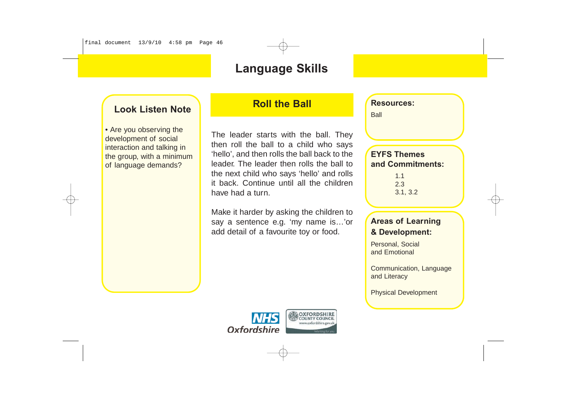#### **Look Listen Note**

• Are you observing the development of social interaction and talking in the group, with a minimum of language demands?

### **Roll the Ball**

The leader starts with the ball. They then roll the ball to a child who says 'hello', and then rolls the ball back to the leader. The leader then rolls the ball to the next child who says 'hello' and rolls it back. Continue until all the children have had a turn.

Make it harder by asking the children to say a sentence e.g. 'my name is…'or add detail of a favourite toy or food.



**Resources:**

Ball

#### **EYFS Themes and Commitments:**

1.1 2.3 3.1, 3.2

#### **Areas of Learning & Development:**

Personal, Social and Emotional

Communication, Language and Literacy

Physical Development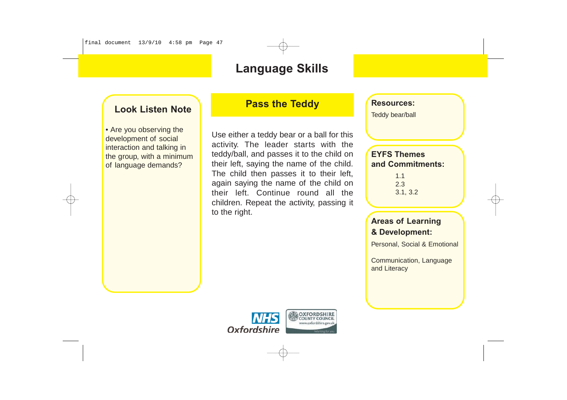#### **Look Listen Note**

• Are you observing the development of social interaction and talking in the group, with a minimum of language demands?

#### **Pass the Teddy**

Use either a teddy bear or a ball for this activity. The leader starts with the teddy/ball, and passes it to the child on their left, saying the name of the child. The child then passes it to their left, again saying the name of the child on their left. Continue round all the children. Repeat the activity, passing it to the right.

**Resources:**

Teddy bear/ball

#### **EYFS Themes and Commitments:**

1.1 2.3 3.1, 3.2

#### **Areas of Learning & Development:**

Personal, Social & Emotional

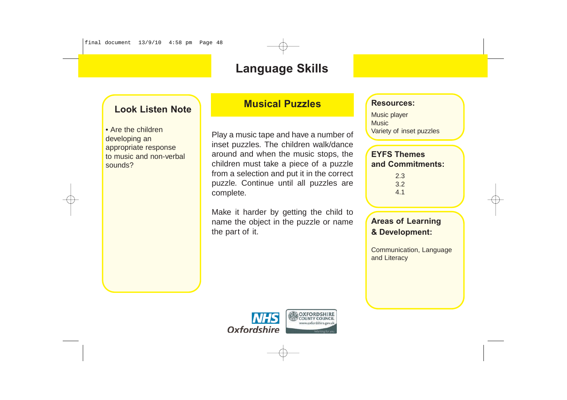#### **Look Listen Note**

• Are the children developing an appropriate response to music and non-verbal sounds?

### **Musical Puzzles**

Play a music tape and have a number of inset puzzles. The children walk/dance around and when the music stops, the children must take a piece of a puzzle from a selection and put it in the correct puzzle. Continue until all puzzles are complete.

Make it harder by getting the child to name the object in the puzzle or name the part of it.

#### **Resources:**

Music player Music Variety of inset puzzles

#### **EYFS Themes and Commitments:**

2.3 3.2 4.1

#### **Areas of Learning & Development:**

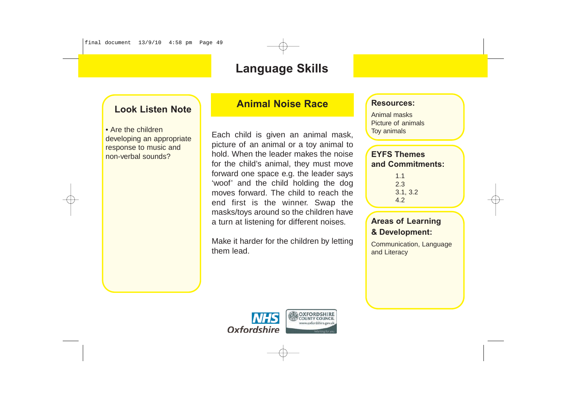#### **Look Listen Note**

• Are the children developing an appropriate response to music and non-verbal sounds?

### **Animal Noise Race**

Each child is given an animal mask, picture of an animal or a toy animal to hold. When the leader makes the noise for the child's animal, they must move forward one space e.g. the leader says 'woof' and the child holding the dog moves forward. The child to reach the end first is the winner. Swap the masks/toys around so the children have a turn at listening for different noises.

Make it harder for the children by letting them lead.

### **OXFORDSHIRE NHS**

#### **Resources:**

Animal masks Picture of animals Toy animals

#### **EYFS Themes and Commitments:**

1.1 2.3 3.1, 3.2 4.2

#### **Areas of Learning & Development:**

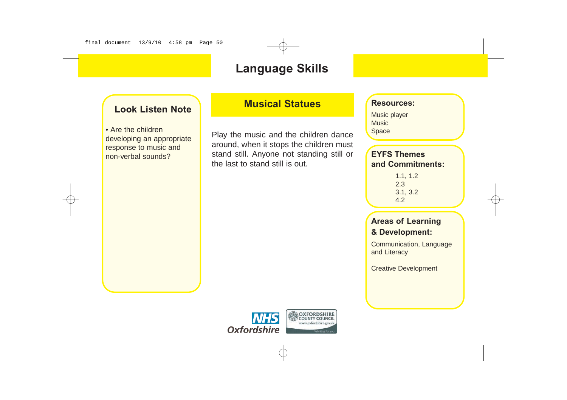#### **Look Listen Note**

• Are the children developing an appropriate response to music and non-verbal sounds?

### **Musical Statues**

Play the music and the children dance around, when it stops the children must stand still. Anyone not standing still or the last to stand still is out.

**Resources:**

Music player Music Space

#### **EYFS Themes and Commitments:**

1.1, 1.2 2.3 3.1, 3.2 4.2

#### **Areas of Learning & Development:**

Communication, Language and Literacy

Creative Development

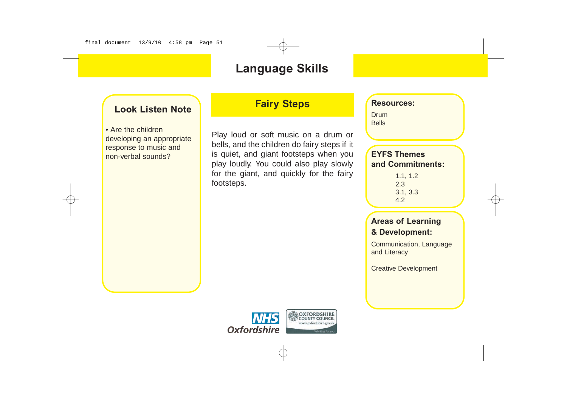#### **Look Listen Note**

• Are the children developing an appropriate response to music and non-verbal sounds?

### **Fairy Steps**

Play loud or soft music on a drum or bells, and the children do fairy steps if it is quiet, and giant footsteps when you play loudly. You could also play slowly for the giant, and quickly for the fairy footsteps.

#### **Resources:**

Drum Bells

#### **EYFS Themes and Commitments:**

1.1, 1.2 2.3 3.1, 3.3 4.2

#### **Areas of Learning & Development:**

Communication, Language and Literacy

Creative Development

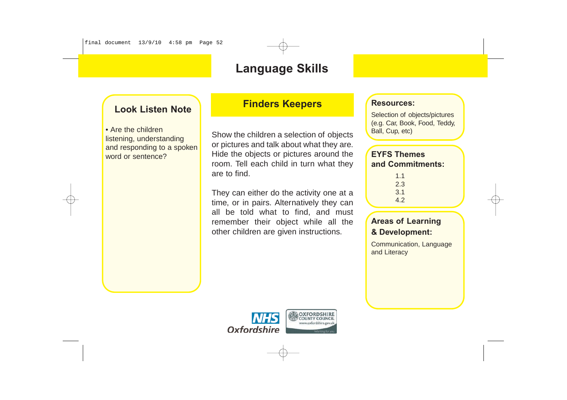#### **Look Listen Note**

• Are the children listening, understanding and responding to a spoken word or sentence?

#### **Finders Keepers**

Show the children a selection of objects or pictures and talk about what they are. Hide the objects or pictures around the room. Tell each child in turn what they are to find.

They can either do the activity one at a time, or in pairs. Alternatively they can all be told what to find, and must remember their object while all the other children are given instructions.

#### **Resources:**

Selection of objects/pictures (e.g. Car, Book, Food, Teddy, Ball, Cup, etc)

#### **EYFS Themes and Commitments:**

1.1 2.3 3.1 4.2

#### **Areas of Learning & Development:**

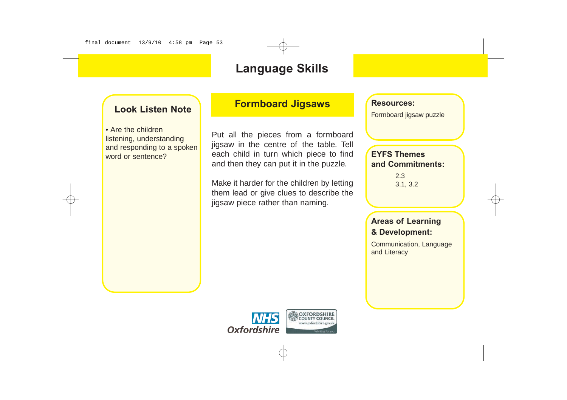final document 13/9/10 4:58 pm Page 53

## **Language Skills**

#### **Look Listen Note**

• Are the children listening, understanding and responding to a spoken word or sentence?

### **Formboard Jigsaws**

Put all the pieces from a formboard jigsaw in the centre of the table. Tell each child in turn which piece to find and then they can put it in the puzzle.

Make it harder for the children by letting them lead or give clues to describe the jigsaw piece rather than naming.

#### **Resources:**

Formboard jigsaw puzzle

#### **EYFS Themes and Commitments:**

2.3 3.1, 3.2

#### **Areas of Learning & Development:**

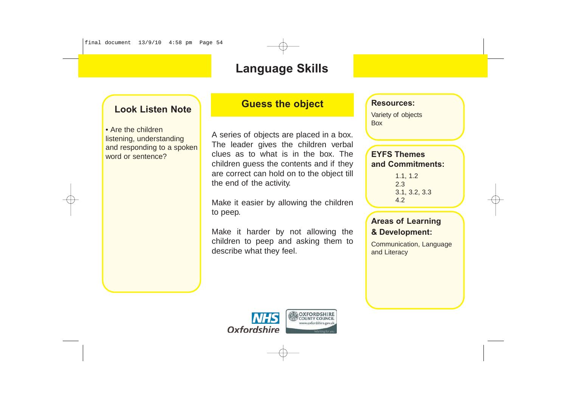#### **Look Listen Note**

• Are the children listening, understanding and responding to a spoken word or sentence?

#### **Guess the object**

A series of objects are placed in a box. The leader gives the children verbal clues as to what is in the box. The children guess the contents and if they are correct can hold on to the object till the end of the activity.

Make it easier by allowing the children to peep.

Make it harder by not allowing the children to peep and asking them to describe what they feel.

#### **Resources:**

Variety of objects Box

#### **EYFS Themes and Commitments:**

1.1, 1.2 2.3 3.1, 3.2, 3.3 4.2

#### **Areas of Learning & Development:**

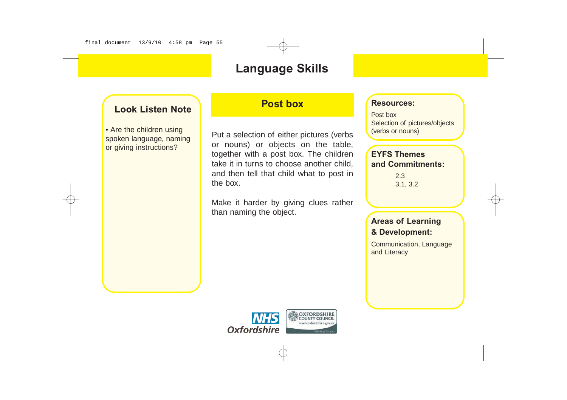#### **Look Listen Note**

• Are the children using spoken language, naming or giving instructions?

#### **Post box**

Put a selection of either pictures (verbs or nouns) or objects on the table, together with a post box. The children take it in turns to choose another child, and then tell that child what to post in the box.

Make it harder by giving clues rather than naming the object.

#### **Resources:**

Post box Selection of pictures/objects (verbs or nouns)

#### **EYFS Themes and Commitments:**

2.3 3.1, 3.2

#### **Areas of Learning & Development:**

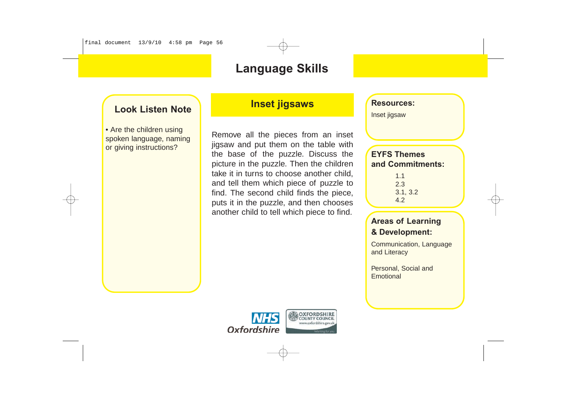#### **Look Listen Note**

• Are the children using spoken language, naming or giving instructions?

#### **Inset jigsaws**

Remove all the pieces from an inset jigsaw and put them on the table with the base of the puzzle. Discuss the picture in the puzzle. Then the children take it in turns to choose another child, and tell them which piece of puzzle to find. The second child finds the piece, puts it in the puzzle, and then chooses another child to tell which piece to find.

**Resources:**

Inset jigsaw

#### **EYFS Themes and Commitments:**

1.1 2.3 3.1, 3.2 4.2

#### **Areas of Learning & Development:**

Communication, Language and Literacy

Personal, Social and **Emotional** 

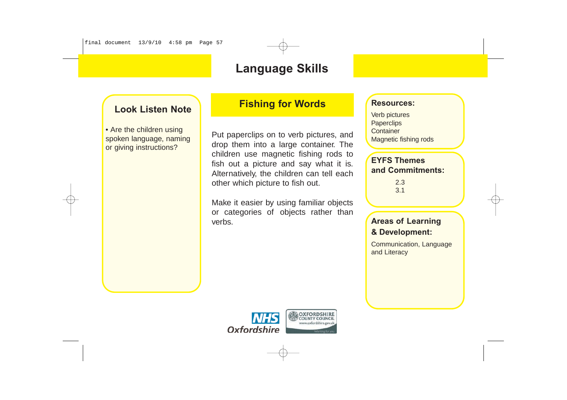#### **Look Listen Note**

• Are the children using spoken language, naming or giving instructions?

#### **Fishing for Words**

Put paperclips on to verb pictures, and drop them into a large container. The children use magnetic fishing rods to fish out a picture and say what it is. Alternatively, the children can tell each other which picture to fish out.

Make it easier by using familiar objects or categories of objects rather than verbs.

#### **Resources:**

Verb pictures **Paperclips Container** Magnetic fishing rods

#### **EYFS Themes and Commitments:**

2.3 3.1

#### **Areas of Learning & Development:**

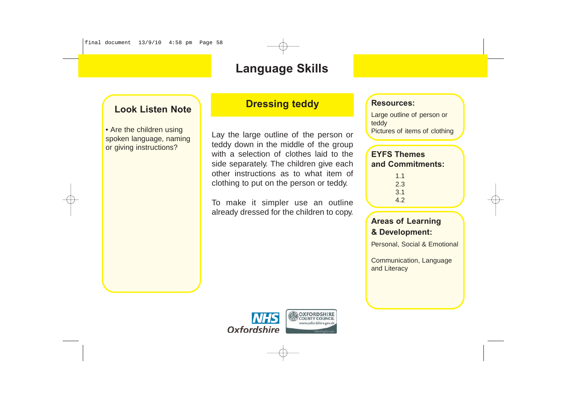#### **Look Listen Note**

• Are the children using spoken language, naming or giving instructions?

#### **Dressing teddy**

Lay the large outline of the person or teddy down in the middle of the group with a selection of clothes laid to the side separately. The children give each other instructions as to what item of clothing to put on the person or teddy.

To make it simpler use an outline already dressed for the children to copy.

#### **Resources:**

Large outline of person or teddy Pictures of items of clothing

#### **EYFS Themes and Commitments:**

1.1 2.3 3.1 4.2

#### **Areas of Learning & Development:**

Personal, Social & Emotional

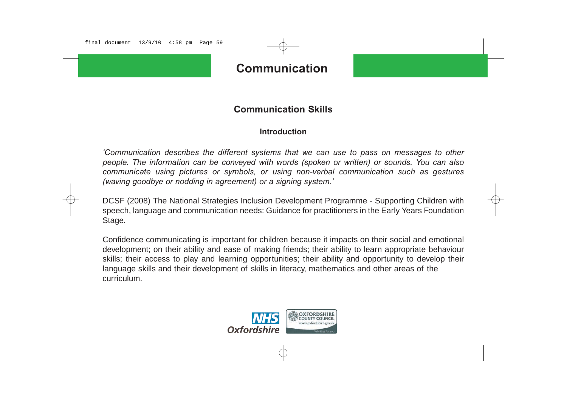final document 13/9/10 4:58 pm Page 59

### **Communication**

#### **Communication Skills**

#### **Introduction**

*'Communication describes the different systems that we can use to pass on messages to other people. The information can be conveyed with words (spoken or written) or sounds. You can also communicate using pictures or symbols, or using non-verbal communication such as gestures (waving goodbye or nodding in agreement) or a signing system.'*

DCSF (2008) The National Strategies Inclusion Development Programme - Supporting Children with speech, language and communication needs: Guidance for practitioners in the Early Years Foundation Stage.

Confidence communicating is important for children because it impacts on their social and emotional development; on their ability and ease of making friends; their ability to learn appropriate behaviour skills; their access to play and learning opportunities; their ability and opportunity to develop their language skills and their development of skills in literacy, mathematics and other areas of the curriculum.

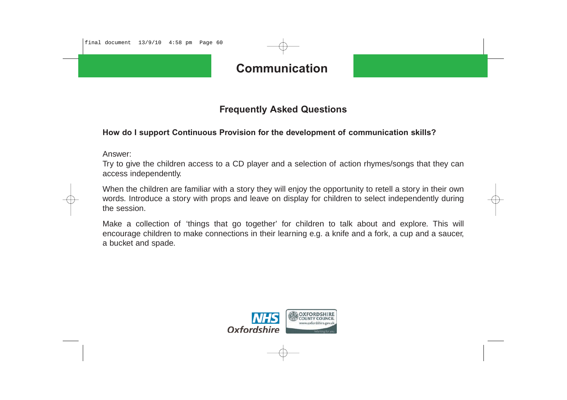final document 13/9/10 4:58 pm Page 60

### **Communication**

#### **Frequently Asked Questions**

#### **How do I support Continuous Provision for the development of communication skills?**

Answer:

Try to give the children access to a CD player and a selection of action rhymes/songs that they can access independently.

When the children are familiar with a story they will enjoy the opportunity to retell a story in their own words. Introduce a story with props and leave on display for children to select independently during the session.

Make a collection of 'things that go together' for children to talk about and explore. This will encourage children to make connections in their learning e.g. a knife and a fork, a cup and a saucer, a bucket and spade.

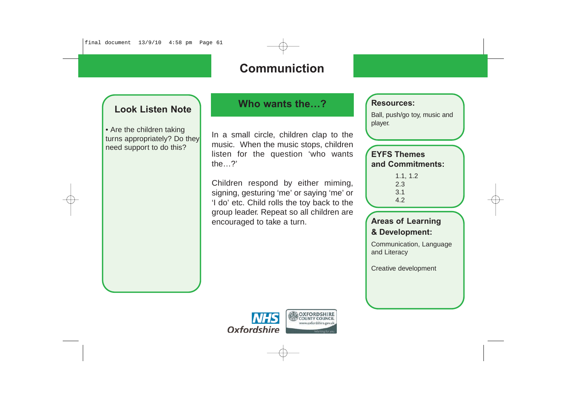#### **Look Listen Note**

• Are the children taking turns appropriately? Do they need support to do this?

#### **Who wants the…?**

In a small circle, children clap to the music. When the music stops, children listen for the question 'who wants the…?'

Children respond by either miming, signing, gesturing 'me' or saying 'me' or 'I do' etc. Child rolls the toy back to the group leader. Repeat so all children are encouraged to take a turn.

#### **Resources:**

Ball, push/go toy, music and player.

#### **EYFS Themes and Commitments:**

1.1, 1.2 2.3 3.1 4.2

#### **Areas of Learning & Development:**

Communication, Language and Literacy

Creative development

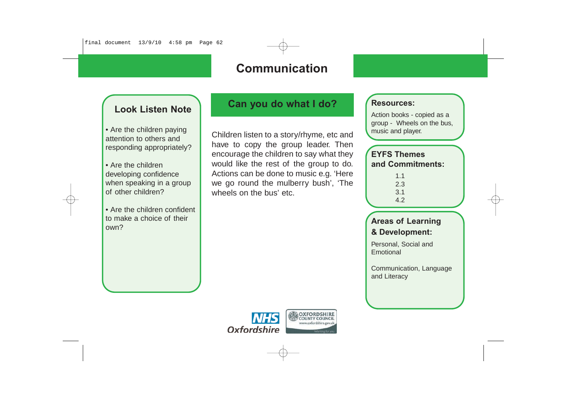#### **Look Listen Note**

• Are the children paying attention to others and responding appropriately?

• Are the children developing confidence when speaking in a group of other children?

• Are the children confident to make a choice of their own?

#### **Can you do what I do?**

Children listen to a story/rhyme, etc and have to copy the group leader. Then encourage the children to say what they would like the rest of the group to do. Actions can be done to music e.g. 'Here we go round the mulberry bush', 'The wheels on the bus' etc.

#### **Resources:**

Action books - copied as a group - Wheels on the bus, music and player.

#### **EYFS Themes and Commitments:**

1.1 2.3 3.1 4.2

#### **Areas of Learning & Development:**

Personal, Social and Emotional

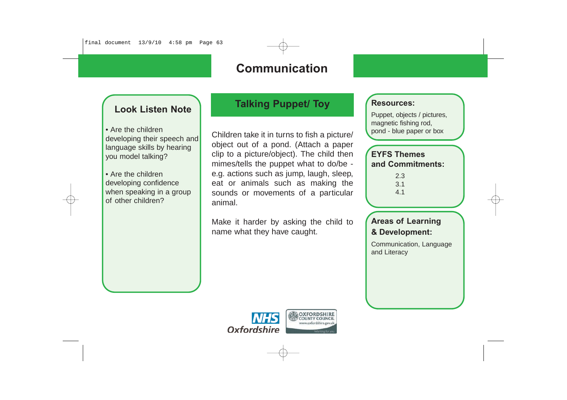#### **Look Listen Note**

• Are the children developing their speech and language skills by hearing you model talking?

• Are the children developing confidence when speaking in a group of other children?

### **Talking Puppet/ Toy**

Children take it in turns to fish a picture/ object out of a pond. (Attach a paper clip to a picture/object). The child then mimes/tells the puppet what to do/be e.g. actions such as jump, laugh, sleep, eat or animals such as making the sounds or movements of a particular animal.

Make it harder by asking the child to name what they have caught.

#### **Resources:**

Puppet, objects / pictures, magnetic fishing rod, pond - blue paper or box

#### **EYFS Themes and Commitments:**

2.3 3.1 4.1

#### **Areas of Learning & Development:**

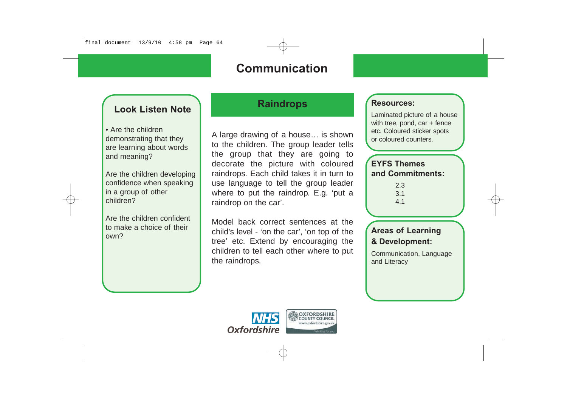#### **Look Listen Note**

• Are the children demonstrating that they are learning about words and meaning?

Are the children developing confidence when speaking in a group of other children?

Are the children confident to make a choice of their own?

#### **Raindrops**

A large drawing of a house… is shown to the children. The group leader tells the group that they are going to decorate the picture with coloured raindrops. Each child takes it in turn to use language to tell the group leader where to put the raindrop. E.g. 'put a raindrop on the car'.

Model back correct sentences at the child's level - 'on the car', 'on top of the tree' etc. Extend by encouraging the children to tell each other where to put the raindrops.

#### **OXFORDSHIRE** *INHS* ww.oxfordshire.gov.u Oxfordshire

#### **Resources:**

Laminated picture of a house with tree, pond, car + fence etc. Coloured sticker spots or coloured counters.

#### **EYFS Themes and Commitments:**

2.3 3.1 4.1

#### **Areas of Learning & Development:**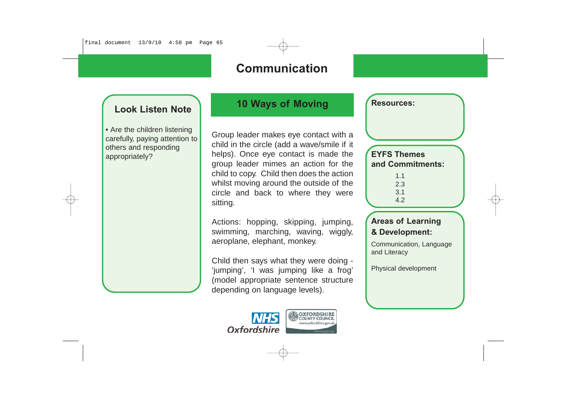#### **Look Listen Note**

• Are the children listening carefully, paying attention to others and responding appropriately?

#### **10 Ways of Moving**

Group leader makes eye contact with a child in the circle (add a wave/smile if it helps). Once eye contact is made the group leader mimes an action for the child to copy. Child then does the action whilst moving around the outside of the circle and back to where they were sitting.

Actions: hopping, skipping, jumping, swimming, marching, waving, wiggly, aeroplane, elephant, monkey.

Child then says what they were doing - 'jumping', 'I was jumping like a frog' (model appropriate sentence structure depending on language levels).



# **EYFS Themes**

**and Commitments:**

1.1 2.3 3.1 4.2

**Resources:**

#### **Areas of Learning & Development:**

Communication, Language and Literacy

Physical development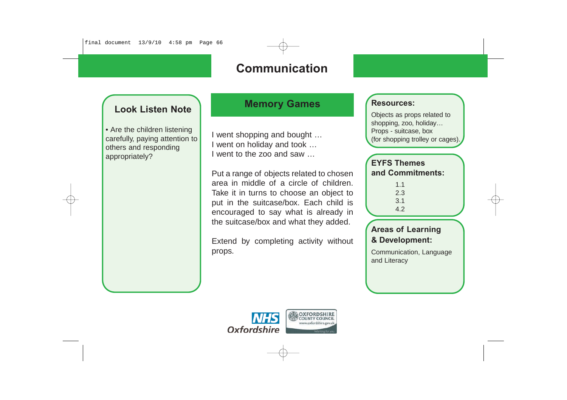#### **Look Listen Note**

• Are the children listening carefully, paying attention to others and responding appropriately?

#### **Memory Games**

I went shopping and bought … I went on holiday and took … I went to the zoo and saw …

Put a range of objects related to chosen area in middle of a circle of children. Take it in turns to choose an object to put in the suitcase/box. Each child is encouraged to say what is already in the suitcase/box and what they added.

Extend by completing activity without props.

#### **Resources:**

Objects as props related to shopping, zoo, holiday… Props - suitcase, box (for shopping trolley or cages).

#### **EYFS Themes and Commitments:**

| 1.1 |
|-----|
| 2.3 |
| 3.1 |
| 4.2 |

#### **Areas of Learning & Development:**

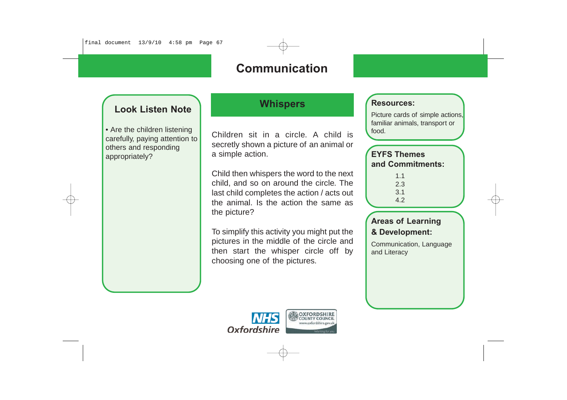#### **Look Listen Note**

• Are the children listening carefully, paying attention to others and responding appropriately?

#### **Whispers**

Children sit in a circle. A child is secretly shown a picture of an animal or a simple action.

Child then whispers the word to the next child, and so on around the circle. The last child completes the action / acts out the animal. Is the action the same as the picture?

To simplify this activity you might put the pictures in the middle of the circle and then start the whisper circle off by choosing one of the pictures.



#### **Resources:**

Picture cards of simple actions, familiar animals, transport or food.

#### **EYFS Themes and Commitments:**

| 1.1 |
|-----|
| 2.3 |
| 3.1 |
| 4.2 |

#### **Areas of Learning & Development:**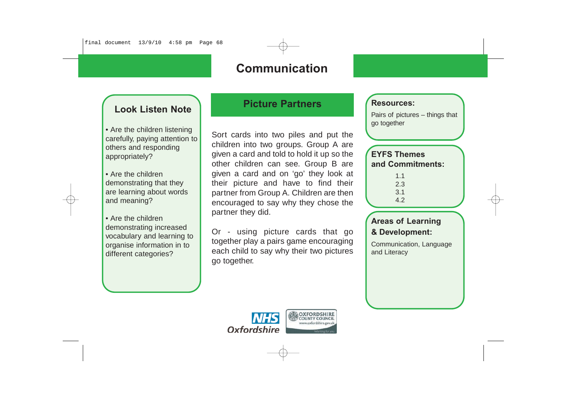#### **Look Listen Note**

• Are the children listening carefully, paying attention to others and responding appropriately?

• Are the children demonstrating that they are learning about words and meaning?

• Are the children demonstrating increased vocabulary and learning to organise information in to different categories?

#### **Picture Partners**

Sort cards into two piles and put the children into two groups. Group A are given a card and told to hold it up so the other children can see. Group B are given a card and on 'go' they look at their picture and have to find their partner from Group A. Children are then encouraged to say why they chose the partner they did.

Or - using picture cards that go together play a pairs game encouraging each child to say why their two pictures go together.



#### **Resources:**

Pairs of pictures – things that go together

#### **EYFS Themes and Commitments:**

1.1 2.3 3.1 4.2

#### **Areas of Learning & Development:**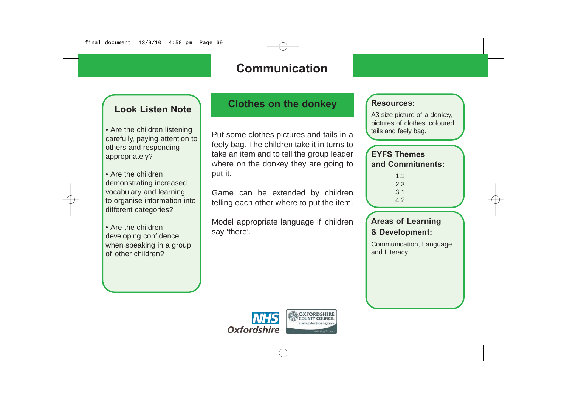#### **Look Listen Note**

• Are the children listening carefully, paying attention to others and responding appropriately?

• Are the children demonstrating increased vocabulary and learning to organise information into different categories?

• Are the children developing confidence when speaking in a group of other children?

#### **Clothes on the donkey**

Put some clothes pictures and tails in a feely bag. The children take it in turns to take an item and to tell the group leader where on the donkey they are going to put it.

Game can be extended by children telling each other where to put the item.

Model appropriate language if children say 'there'.

#### **Resources:**

A3 size picture of a donkey, pictures of clothes, coloured tails and feely bag.

#### **EYFS Themes and Commitments:**

1.1 2.3 3.1 4.2

#### **Areas of Learning & Development:**

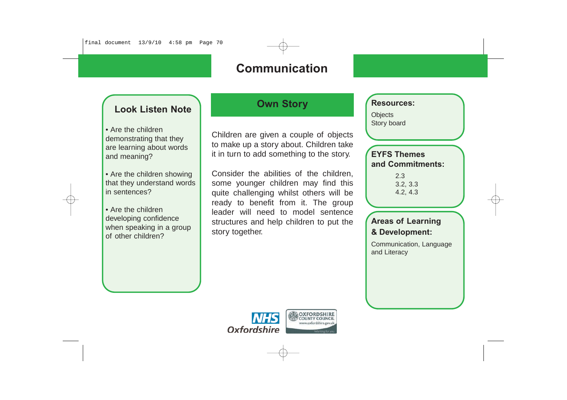#### **Look Listen Note**

• Are the children demonstrating that they are learning about words and meaning?

• Are the children showing that they understand words in sentences?

• Are the children developing confidence when speaking in a group of other children?

#### **Own Story**

Children are given a couple of objects to make up a story about. Children take it in turn to add something to the story.

Consider the abilities of the children, some younger children may find this quite challenging whilst others will be ready to benefit from it. The group leader will need to model sentence structures and help children to put the story together.

**Resources:**

**Objects** Story board

#### **EYFS Themes and Commitments:**

2.3 3.2, 3.3 4.2, 4.3

#### **Areas of Learning & Development:**

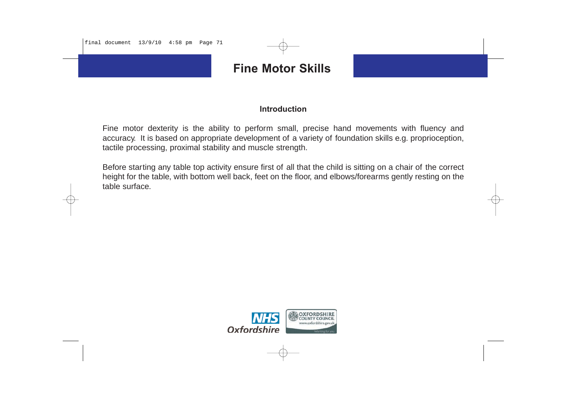final document 13/9/10 4:58 pm Page 71

### **Fine Motor Skills**

#### **Introduction**

Fine motor dexterity is the ability to perform small, precise hand movements with fluency and accuracy. It is based on appropriate development of a variety of foundation skills e.g. proprioception, tactile processing, proximal stability and muscle strength.

Before starting any table top activity ensure first of all that the child is sitting on a chair of the correct height for the table, with bottom well back, feet on the floor, and elbows/forearms gently resting on the table surface.

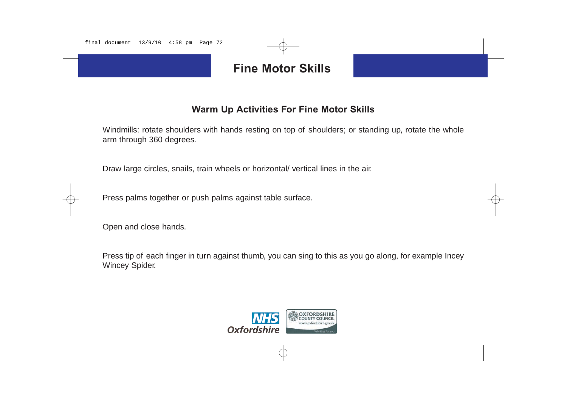final document  $13/9/10$  4:58 pm Page 72

## **Fine Motor Skills**

#### **Warm Up Activities For Fine Motor Skills**

Windmills: rotate shoulders with hands resting on top of shoulders; or standing up, rotate the whole arm through 360 degrees.

Draw large circles, snails, train wheels or horizontal/ vertical lines in the air.

Press palms together or push palms against table surface.

Open and close hands.

Press tip of each finger in turn against thumb, you can sing to this as you go along, for example Incey Wincey Spider.

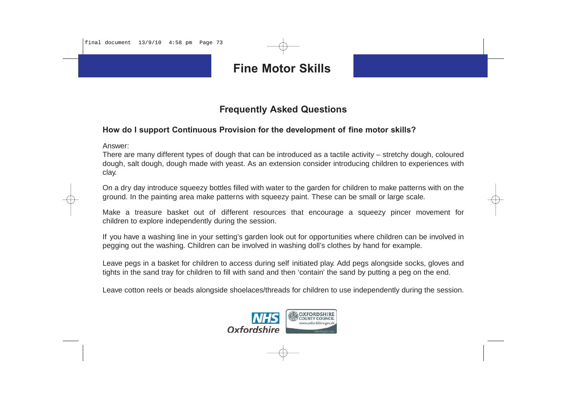final document 13/9/10 4:58 pm Page 73

# **Fine Motor Skills**

### **Frequently Asked Questions**

#### **How do I support Continuous Provision for the development of fine motor skills?**

Answer:

There are many different types of dough that can be introduced as a tactile activity – stretchy dough, coloured dough, salt dough, dough made with yeast. As an extension consider introducing children to experiences with clay.

On a dry day introduce squeezy bottles filled with water to the garden for children to make patterns with on the ground. In the painting area make patterns with squeezy paint. These can be small or large scale.

Make a treasure basket out of different resources that encourage a squeezy pincer movement for children to explore independently during the session.

If you have a washing line in your setting's garden look out for opportunities where children can be involved in pegging out the washing. Children can be involved in washing doll's clothes by hand for example.

Leave pegs in a basket for children to access during self initiated play. Add pegs alongside socks, gloves and tights in the sand tray for children to fill with sand and then 'contain' the sand by putting a peg on the end.

Leave cotton reels or beads alongside shoelaces/threads for children to use independently during the session.

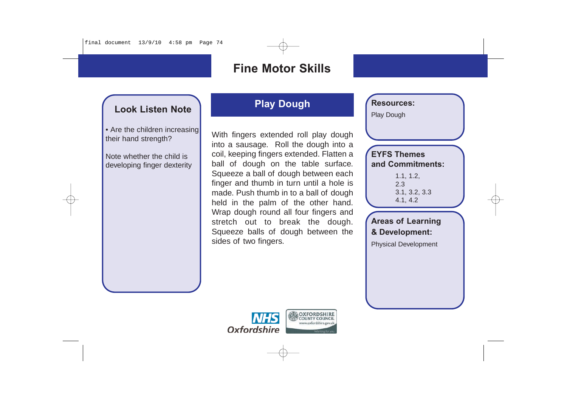### **Look Listen Note**

• Are the children increasing their hand strength?

Note whether the child is developing finger dexterity

# **Play Dough**

With fingers extended roll play dough into a sausage. Roll the dough into a coil, keeping fingers extended. Flatten a ball of dough on the table surface. Squeeze a ball of dough between each finger and thumb in turn until a hole is made. Push thumb in to a ball of dough held in the palm of the other hand. Wrap dough round all four fingers and stretch out to break the dough. Squeeze balls of dough between the sides of two fingers.



**Resources:**

Play Dough

### **EYFS Themes and Commitments:**

1.1, 1.2, 2.3 3.1, 3.2, 3.3 4.1, 4.2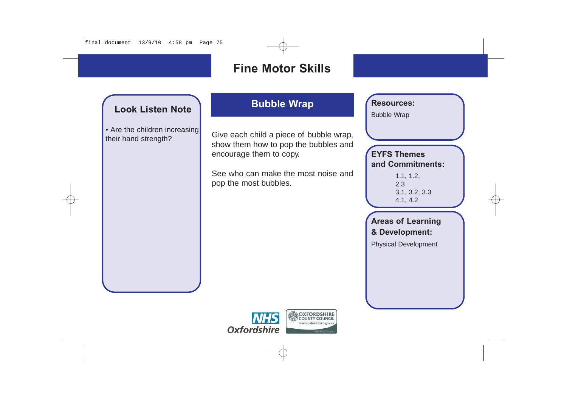$final$  document  $13/9/10$  4:58 pm Page 75

# **Fine Motor Skills**

## **Look Listen Note**

• Are the children increasing

# **Bubble Wrap**

The the children increasing Give each child a piece of bubble wrap,<br>show them how to pop the bubbles and encourage them to copy.

> See who can make the most noise and pop the most bubbles.

**Resources:**

Bubble Wrap

#### **EYFS Themes and Commitments:**

1.1, 1.2, 2.3 3.1, 3.2, 3.3 4.1, 4.2

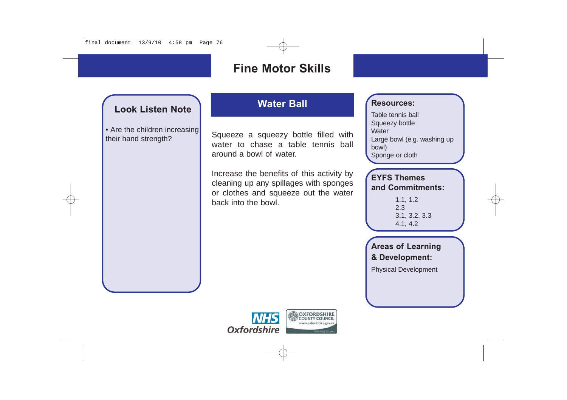### **Look Listen Note**

• Are the children increasing<br>their hand strength?

# **Water Ball Resources:**

Squeeze a squeezy bottle filled with water to chase a table tennis ball around a bowl of water.

Increase the benefits of this activity by cleaning up any spillages with sponges or clothes and squeeze out the water back into the bowl.

Table tennis ball Squeezy bottle **Water** Large bowl (e.g. washing up bowl) Sponge or cloth

#### **EYFS Themes and Commitments:**

1.1, 1.2 2.3 3.1, 3.2, 3.3 4.1, 4.2

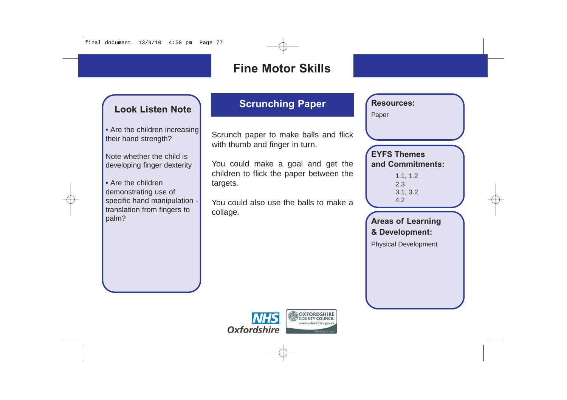### **Look Listen Note**

• Are the children increasing their hand strength?

Note whether the child is developing finger dexterity

• Are the children demonstrating use of specific hand manipulation translation from fingers to palm?

# **Scrunching Paper**

Scrunch paper to make balls and flick with thumb and finger in turn.

You could make a goal and get the children to flick the paper between the targets.

You could also use the balls to make a collage.

### **Resources:**

Paper

# **EYFS Themes and Commitments:**

1.1, 1.2 2.3 3.1, 3.2 4.2

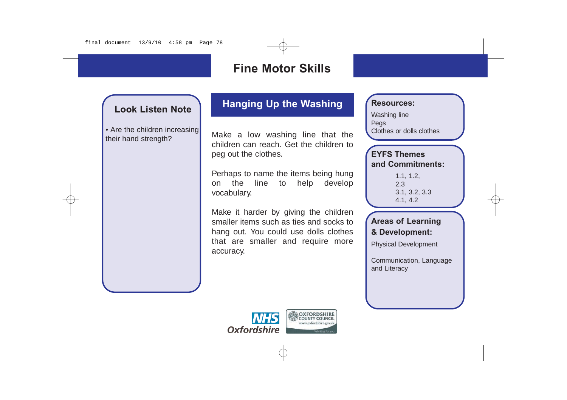### **Look Listen Note**

• Are the children increasing

# **Hanging Up the Washing**

their hand strength? Make a low washing line that the children can reach. Get the children to peg out the clothes.

> Perhaps to name the items being hung on the line to help develop vocabulary.

> Make it harder by giving the children smaller items such as ties and socks to hang out. You could use dolls clothes that are smaller and require more accuracy.

**Resources:**

Washing line Pegs Clothes or dolls clothes

### **EYFS Themes and Commitments:**

1.1, 1.2, 2.3 3.1, 3.2, 3.3 4.1, 4.2

### **Areas of Learning & Development:**

Physical Development

Communication, Language and Literacy

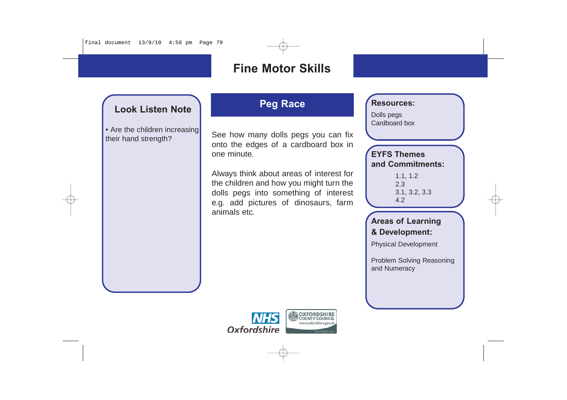### **Look Listen Note**

• Are the children increasing<br>their hand strength?

# **Peg Race**

See how many dolls pegs you can fix onto the edges of a cardboard box in one minute.

Always think about areas of interest for the children and how you might turn the dolls pegs into something of interest e.g. add pictures of dinosaurs, farm animals etc.

#### **Resources:**

Dolls pegs Cardboard box

#### **EYFS Themes and Commitments:**

1.1, 1.2 2.3 3.1, 3.2, 3.3 4.2

#### **Areas of Learning & Development:**

Physical Development

Problem Solving Reasoning and Numeracy

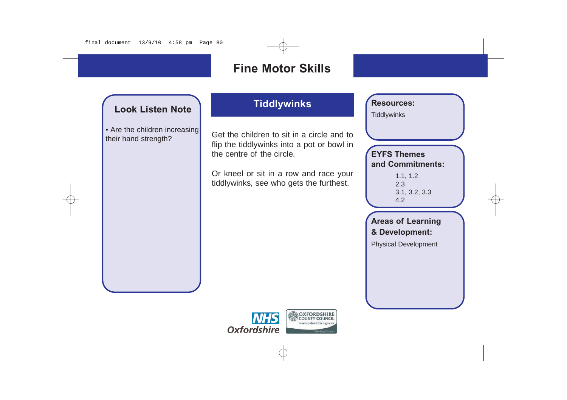final document 13/9/10 4:58 pm Page 80

# **Fine Motor Skills**

# **Look Listen Note**

• Are the children increasing

# **Tiddlywinks**

The the children increasing Get the children to sit in a circle and to flip the tiddlywinks into a pot or bowl in the centre of the circle.

> Or kneel or sit in a row and race your tiddlywinks, see who gets the furthest.

**Resources:**

**Tiddlywinks** 

#### **EYFS Themes and Commitments:**

1.1, 1.2 2.3 3.1, 3.2, 3.3 4.2

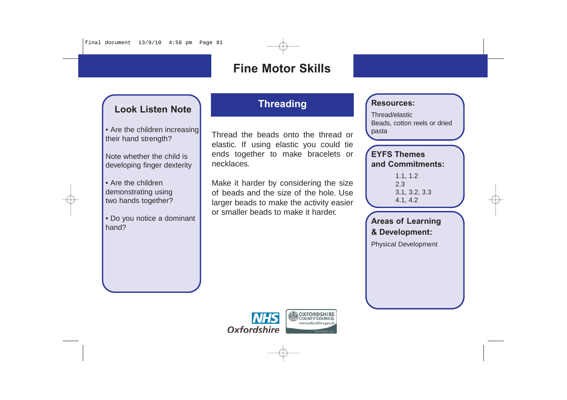### **Look Listen Note**

• Are the children increasing their hand strength?

Note whether the child is developing finger dexterity

• Are the children demonstrating using two hands together?

• Do you notice a dominant hand?

# **Threading**

Thread the beads onto the thread or elastic. If using elastic you could tie ends together to make bracelets or necklaces.

Make it harder by considering the size of beads and the size of the hole. Use larger beads to make the activity easier or smaller beads to make it harder.

#### **Resources:**

Thread/elastic Beads, cotton reels or dried pasta

### **EYFS Themes and Commitments:**

1.1, 1.2 2.3 3.1, 3.2, 3.3 4.1, 4.2

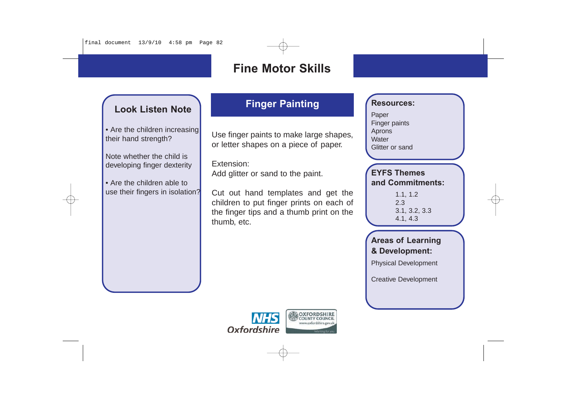### **Look Listen Note**

• Are the children increasing their hand strength?

Note whether the child is developing finger dexterity

• Are the children able to use their fingers in isolation?

# **Finger Painting**

Use finger paints to make large shapes, or letter shapes on a piece of paper.

Extension: Add glitter or sand to the paint.

Cut out hand templates and get the children to put finger prints on each of the finger tips and a thumb print on the thumb, etc.

#### **Resources:**

Paper Finger paints Aprons **Water** Glitter or sand

#### **EYFS Themes and Commitments:** 1.1, 1.2

2.3 3.1, 3.2, 3.3 4.1, 4.3

#### **Areas of Learning & Development:**

Physical Development

Creative Development

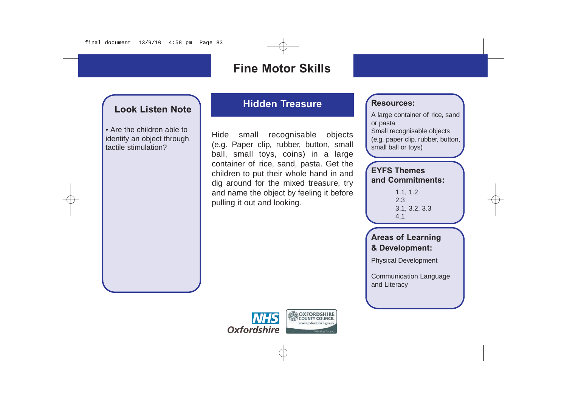### **Look Listen Note**

• Are the children able to identify an object through tactile stimulation?

## **Hidden Treasure**

Hide small recognisable objects (e.g. Paper clip, rubber, button, small ball, small toys, coins) in a large container of rice, sand, pasta. Get the children to put their whole hand in and dig around for the mixed treasure, try and name the object by feeling it before pulling it out and looking.

#### **Resources:**

A large container of rice, sand or pasta Small recognisable objects (e.g. paper clip, rubber, button, small ball or toys)

#### **EYFS Themes and Commitments:**

1.1, 1.2 2.3 3.1, 3.2, 3.3 4.1

#### **Areas of Learning & Development:**

Physical Development

Communication Language and Literacy

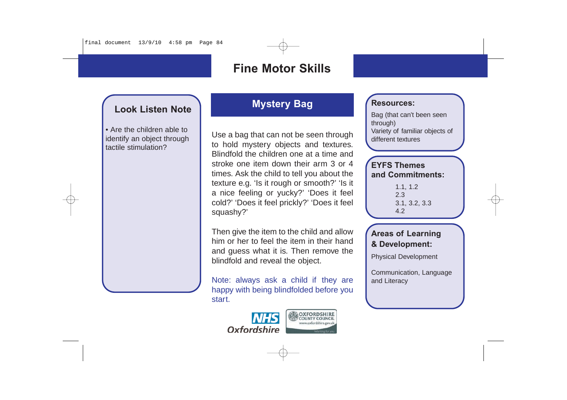### **Look Listen Note**

• Are the children able to identify an object through tactile stimulation?

### **Mystery Bag**

Use a bag that can not be seen through to hold mystery objects and textures. Blindfold the children one at a time and stroke one item down their arm 3 or 4 times. Ask the child to tell you about the texture e.g. 'Is it rough or smooth?' 'Is it a nice feeling or yucky?' 'Does it feel cold?' 'Does it feel prickly?' 'Does it feel squashy?'

Then give the item to the child and allow him or her to feel the item in their hand and guess what it is. Then remove the blindfold and reveal the object.

Note: always ask a child if they are happy with being blindfolded before you start.



## **Resources:**

Bag (that can't been seen through) Variety of familiar objects of different textures

#### **EYFS Themes and Commitments:**

1.1, 1.2 2.3 3.1, 3.2, 3.3 4.2

### **Areas of Learning & Development:**

Physical Development

Communication, Language and Literacy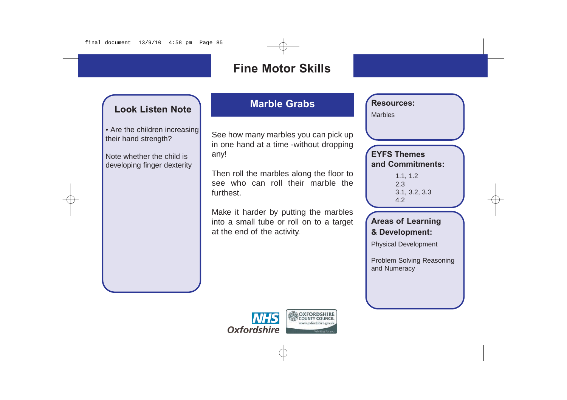### **Look Listen Note**

• Are the children increasing their hand strength?

Note whether the child is developing finger dexterity

# **Marble Grabs**

See how many marbles you can pick up in one hand at a time -without dropping any!

Then roll the marbles along the floor to see who can roll their marble the furthest.

Make it harder by putting the marbles into a small tube or roll on to a target at the end of the activity.

**Resources:**

Marbles

#### **EYFS Themes and Commitments:**

1.1, 1.2 2.3 3.1, 3.2, 3.3 4.2

#### **Areas of Learning & Development:**

Physical Development

Problem Solving Reasoning and Numeracy

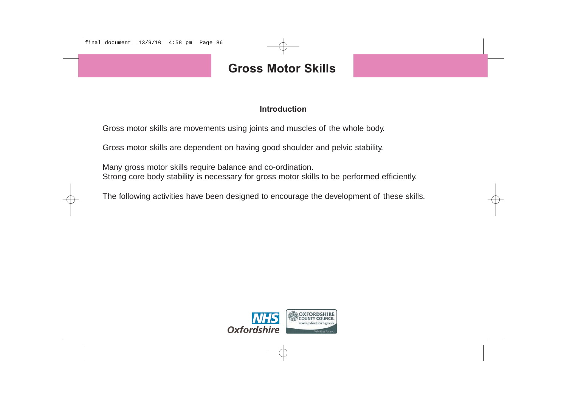final document 13/9/10 4:58 pm Page 86

# **Gross Motor Skills**

#### **Introduction**

Gross motor skills are movements using joints and muscles of the whole body.

Gross motor skills are dependent on having good shoulder and pelvic stability.

Many gross motor skills require balance and co-ordination. Strong core body stability is necessary for gross motor skills to be performed efficiently.

The following activities have been designed to encourage the development of these skills.

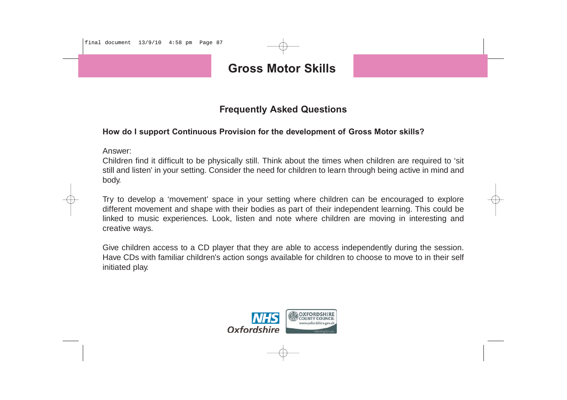final document 13/9/10 4:58 pm Page 87

# **Gross Motor Skills**

### **Frequently Asked Questions**

#### **How do I support Continuous Provision for the development of Gross Motor skills?**

Answer:

Children find it difficult to be physically still. Think about the times when children are required to 'sit still and listen' in your setting. Consider the need for children to learn through being active in mind and body.

Try to develop a 'movement' space in your setting where children can be encouraged to explore different movement and shape with their bodies as part of their independent learning. This could be linked to music experiences. Look, listen and note where children are moving in interesting and creative ways.

Give children access to a CD player that they are able to access independently during the session. Have CDs with familiar children's action songs available for children to choose to move to in their self initiated play.

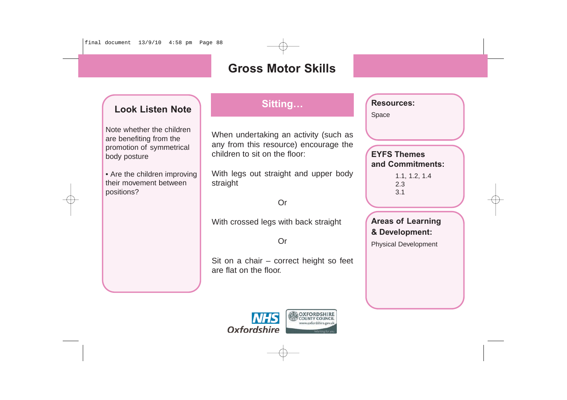### **Look Listen Note**

Note whether the children are benefiting from the promotion of symmetrical body posture

• Are the children improving their movement between positions?

# **Sitting…**

When undertaking an activity (such as any from this resource) encourage the children to sit on the floor:

With legs out straight and upper body straight

Or

With crossed legs with back straight

Or

Sit on a chair – correct height so feet are flat on the floor.



### **Resources:**

Space

#### **EYFS Themes and Commitments:**

1.1, 1.2, 1.4 2.3 3.1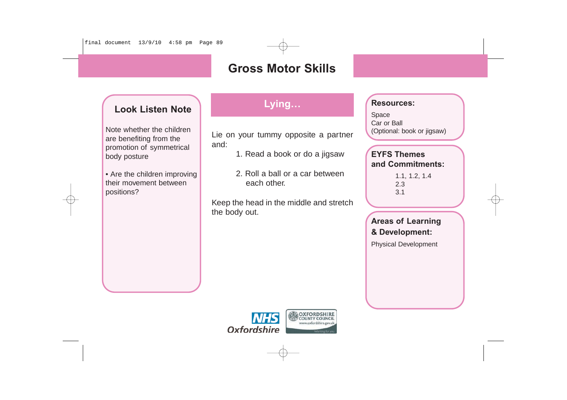### **Look Listen Note**

Note whether the children are benefiting from the promotion of symmetrical body posture

• Are the children improving their movement between positions?

# **Lying…**

Lie on your tummy opposite a partner and:

- 1. Read a book or do a jigsaw
- 2. Roll a ball or a car between each other.

Keep the head in the middle and stretch the body out.

#### **Resources:**

Space Car or Ball (Optional: book or jigsaw)

#### **EYFS Themes and Commitments:**

1.1, 1.2, 1.4 2.3 3.1

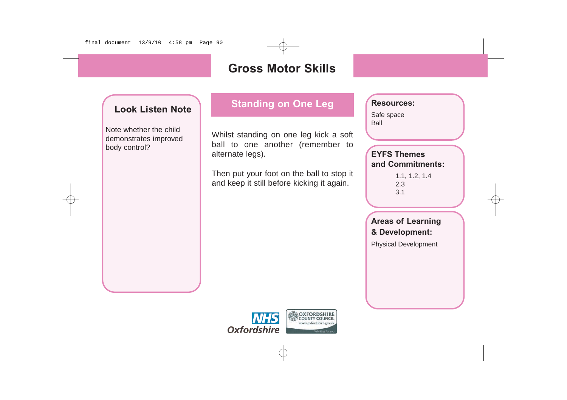final document 13/9/10 4:58 pm Page 90

# **Gross Motor Skills**

### **Look Listen Note**

Note whether the child demonstrates improved body control?

# **Standing on One Leg**

Whilst standing on one leg kick a soft ball to one another (remember to alternate legs).

Then put your foot on the ball to stop it and keep it still before kicking it again.

**Resources:**

Safe space Ball

#### **EYFS Themes and Commitments:**

1.1, 1.2, 1.4 2.3 3.1

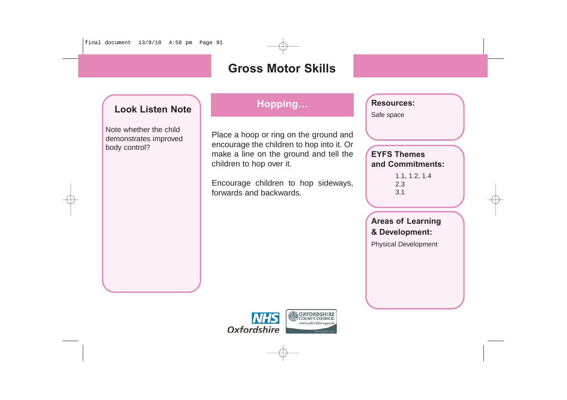final document 13/9/10 4:58 pm Page 91

# **Gross Motor Skills**

### **Look Listen Note**

Note whether the child demonstrates improved body control?

# **Hopping…**

Place a hoop or ring on the ground and encourage the children to hop into it. Or make a line on the ground and tell the children to hop over it.

Encourage children to hop sideways, forwards and backwards.

**Resources:**

Safe space

#### **EYFS Themes and Commitments:**

1.1, 1.2, 1.4 2.3 3.1

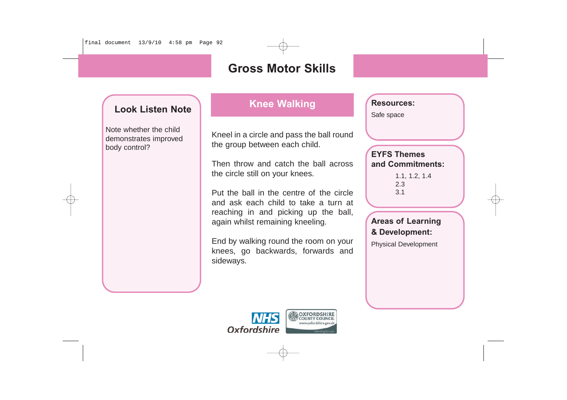### **Look Listen Note**

Note whether the child demonstrates improved body control?

# **Knee Walking**

Kneel in a circle and pass the ball round the group between each child.

Then throw and catch the ball across the circle still on your knees.

Put the ball in the centre of the circle and ask each child to take a turn at reaching in and picking up the ball, again whilst remaining kneeling.

End by walking round the room on your knees, go backwards, forwards and sideways.



**Resources:**

Safe space

#### **EYFS Themes and Commitments:**

1.1, 1.2, 1.4 2.3 3.1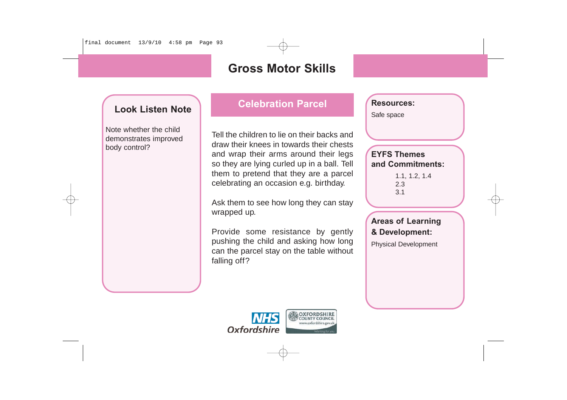### **Look Listen Note**

Note whether the child demonstrates improved body control?

## **Celebration Parcel**

Tell the children to lie on their backs and draw their knees in towards their chests and wrap their arms around their legs so they are lying curled up in a ball. Tell them to pretend that they are a parcel celebrating an occasion e.g. birthday.

Ask them to see how long they can stay wrapped up.

Provide some resistance by gently pushing the child and asking how long can the parcel stay on the table without falling off?



**Resources:** Safe space

#### **EYFS Themes and Commitments:**

1.1, 1.2, 1.4 2.3 3.1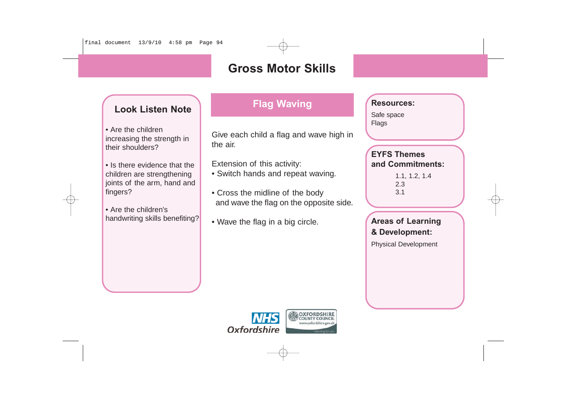### **Look Listen Note**

• Are the children increasing the strength in their shoulders?

• Is there evidence that the children are strengthening joints of the arm, hand and fingers?

• Are the children's handwriting skills benefiting?

# **Flag Waving**

Give each child a flag and wave high in the air.

Extension of this activity:

• Switch hands and repeat waving.

• Cross the midline of the body and wave the flag on the opposite side.

• Wave the flag in a big circle.

#### **Resources:**

Safe space Flags

#### **EYFS Themes and Commitments:**

1.1, 1.2, 1.4 2.3 3.1

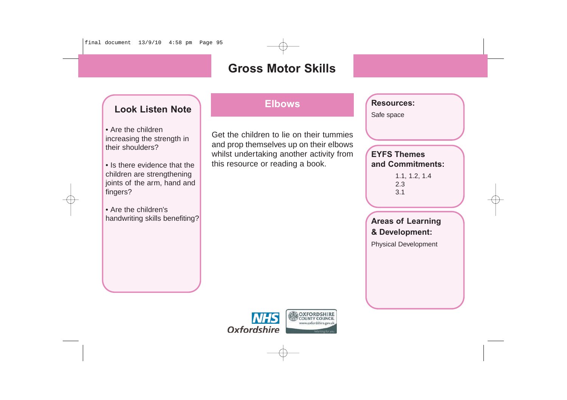### **Look Listen Note**

• Are the children increasing the strength in their shoulders?

• Is there evidence that the children are strengthening joints of the arm, hand and fingers?

• Are the children's handwriting skills benefiting?

### **Elbows**

Get the children to lie on their tummies and prop themselves up on their elbows whilst undertaking another activity from this resource or reading a book.

**Resources:**

Safe space

#### **EYFS Themes and Commitments:**

1.1, 1.2, 1.4 2.3 3.1

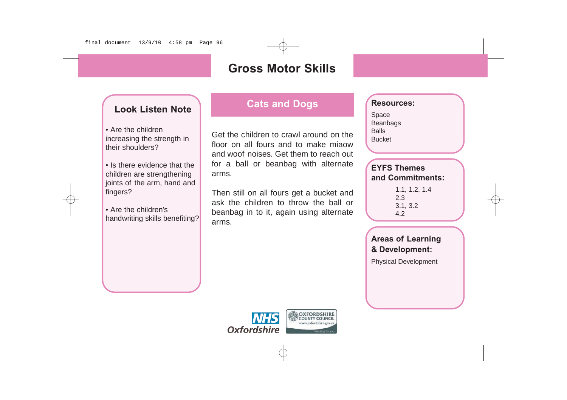### **Look Listen Note**

• Are the children increasing the strength in their shoulders?

• Is there evidence that the children are strengthening joints of the arm, hand and fingers?

• Are the children's handwriting skills benefiting?

# **Cats and Dogs**

Get the children to crawl around on the floor on all fours and to make miaow and woof noises. Get them to reach out for a ball or beanbag with alternate arms.

Then still on all fours get a bucket and ask the children to throw the ball or beanbag in to it, again using alternate arms.

**Resources:**

Space Beanbags Balls Bucket

#### **EYFS Themes and Commitments:**

1.1, 1.2, 1.4 2.3 3.1, 3.2 4.2

# **Areas of Learning & Development:**

Physical Development

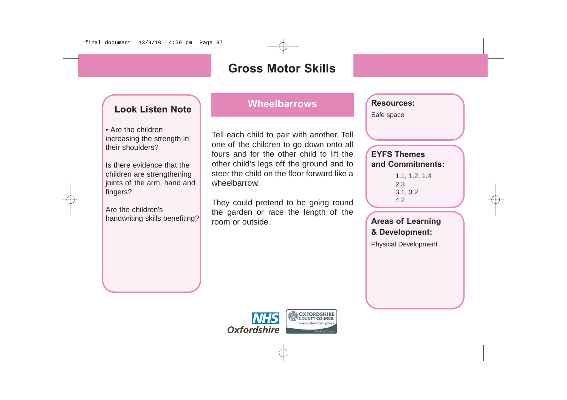### **Look Listen Note**

• Are the children increasing the strength in their shoulders?

Is there evidence that the children are strengthening joints of the arm, hand and fingers?

Are the children's handwriting skills benefiting?

## **Wheelbarrows**

Tell each child to pair with another. Tell one of the children to go down onto all fours and for the other child to lift the other child's legs off the ground and to steer the child on the floor forward like a wheelbarrow.

They could pretend to be going round the garden or race the length of the room or outside.

**Resources:**

Safe space

#### **EYFS Themes and Commitments:**

1.1, 1.2, 1.4 2.3 3.1, 3.2 4.2

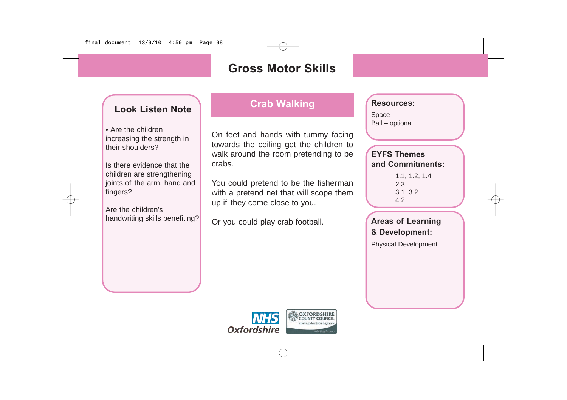### **Look Listen Note**

• Are the children increasing the strength in their shoulders?

Is there evidence that the children are strengthening joints of the arm, hand and fingers?

Are the children's handwriting skills benefiting?

# **Crab Walking**

On feet and hands with tummy facing towards the ceiling get the children to walk around the room pretending to be crabs.

You could pretend to be the fisherman with a pretend net that will scope them up if they come close to you.

Or you could play crab football.

#### **Resources:**

Space Ball – optional

#### **EYFS Themes and Commitments:**

1.1, 1.2, 1.4 2.3 3.1, 3.2 4.2

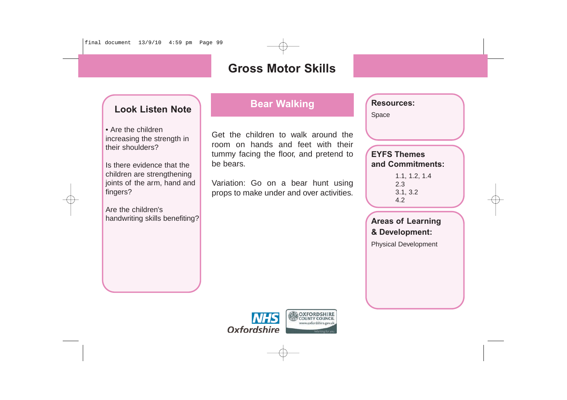### **Look Listen Note**

• Are the children increasing the strength in their shoulders?

Is there evidence that the children are strengthening joints of the arm, hand and fingers?

Are the children's handwriting skills benefiting?

# **Bear Walking**

Get the children to walk around the room on hands and feet with their tummy facing the floor, and pretend to be bears.

Variation: Go on a bear hunt using props to make under and over activities. **Resources:**

Space

#### **EYFS Themes and Commitments:**

1.1, 1.2, 1.4 2.3 3.1, 3.2 4.2

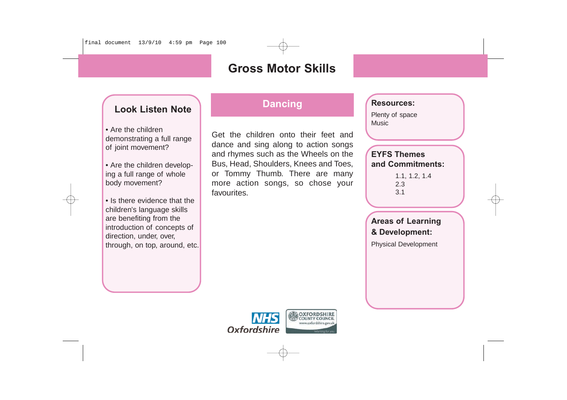### **Look Listen Note**

• Are the children demonstrating a full range of joint movement?

• Are the children developing a full range of whole body movement?

• Is there evidence that the children's language skills are benefiting from the introduction of concepts of direction, under, over, through, on top, around, etc.

### **Dancing**

Get the children onto their feet and dance and sing along to action songs and rhymes such as the Wheels on the Bus, Head, Shoulders, Knees and Toes, or Tommy Thumb. There are many more action songs, so chose your favourites.

#### **Resources:**

Plenty of space Music

#### **EYFS Themes and Commitments:**

1.1, 1.2, 1.4 2.3 3.1

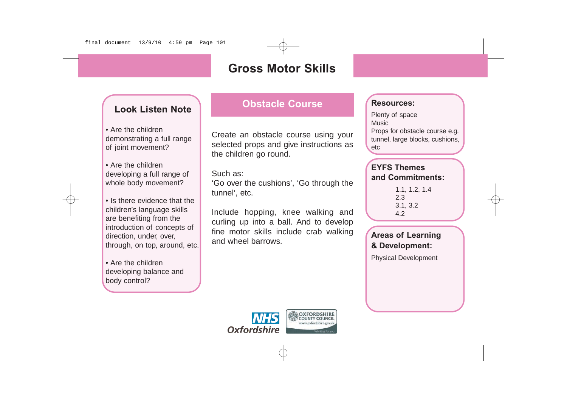### **Look Listen Note**

• Are the children demonstrating a full range of joint movement?

• Are the children developing a full range of whole body movement?

• Is there evidence that the children's language skills are benefiting from the introduction of concepts of direction, under, over, through, on top, around, etc.

• Are the children developing balance and body control?

### **Obstacle Course CRESOURCES:**

Create an obstacle course using your selected props and give instructions as the children go round.

Such as:

'Go over the cushions', 'Go through the tunnel', etc.

Include hopping, knee walking and curling up into a ball. And to develop fine motor skills include crab walking and wheel barrows.<br> **Areas of Learning**<br> **A Development:** 



Plenty of space Music Props for obstacle course e.g. tunnel, large blocks, cushions, etc

#### **EYFS Themes and Commitments:**

1.1, 1.2, 1.4 2.3 3.1, 3.2 4.2

Physical Development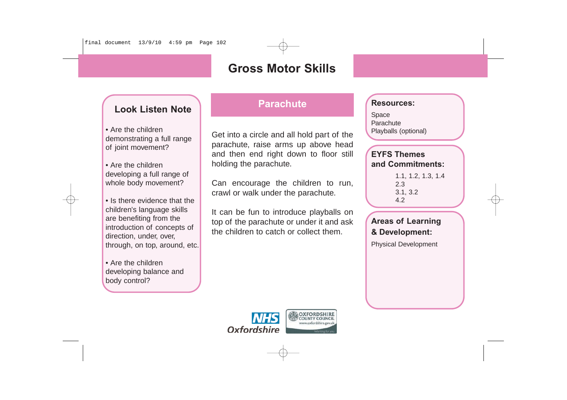### **Look Listen Note**

• Are the children demonstrating a full range of joint movement?

• Are the children developing a full range of whole body movement?

• Is there evidence that the children's language skills are benefiting from the introduction of concepts of direction, under, over, through, on top, around, etc.

• Are the children developing balance and body control?

### **Parachute**

Get into a circle and all hold part of the parachute, raise arms up above head and then end right down to floor still holding the parachute.

Can encourage the children to run, crawl or walk under the parachute.

It can be fun to introduce playballs on top of the parachute or under it and ask the children to catch or collect them.



**Resources:**

Space Parachute Playballs (optional)

#### **EYFS Themes and Commitments:**

1.1, 1.2, 1.3, 1.4 2.3 3.1, 3.2 4.2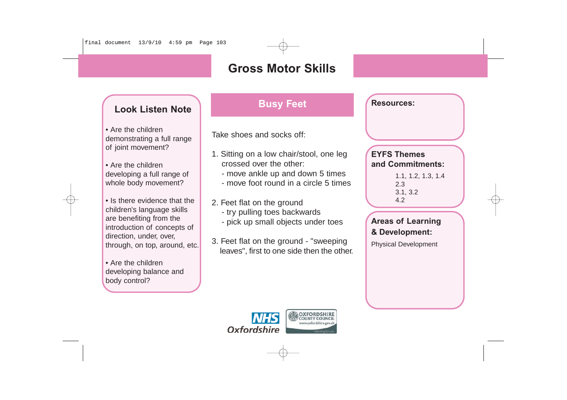### **Look Listen Note**

• Are the children demonstrating a full range of joint movement?

• Are the children developing a full range of whole body movement?

• Is there evidence that the children's language skills are benefiting from the introduction of concepts of direction, under, over, through, on top, around, etc.

• Are the children developing balance and body control?

# **Busy Feet**

Take shoes and socks off:

- 1. Sitting on a low chair/stool, one leg crossed over the other:
	- move ankle up and down 5 times
	- move foot round in a circle 5 times
- 2. Feet flat on the ground
	- try pulling toes backwards
	- pick up small objects under toes
- 3. Feet flat on the ground "sweeping leaves", first to one side then the other.

| <b>NHS</b>  | <b>OXFORDSHIRE</b><br><b>COUNTY COUNCIL</b><br>w.oxfordshire.gov.uk |
|-------------|---------------------------------------------------------------------|
| Oxfordshire |                                                                     |

#### **EYFS Themes and Commitments:**

1.1, 1.2, 1.3, 1.4 2.3 3.1, 3.2 4.2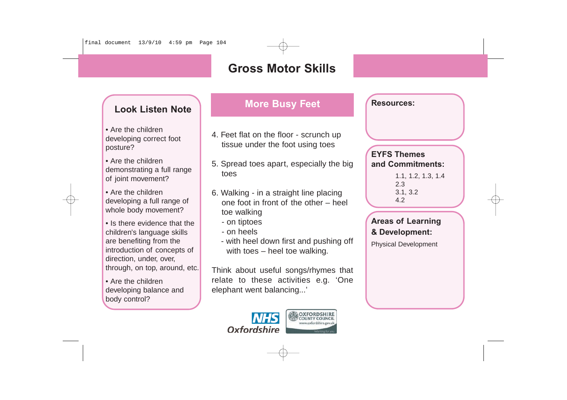### **Look Listen Note**

• Are the children developing correct foot posture?

• Are the children demonstrating a full range of joint movement?

• Are the children developing a full range of whole body movement?

• Is there evidence that the children's language skills are benefiting from the introduction of concepts of direction, under, over, through, on top, around, etc.

• Are the children developing balance and body control?

# **More Busy Feet**

- 4. Feet flat on the floor scrunch up tissue under the foot using toes
- 5. Spread toes apart, especially the big toes
- 6. Walking in a straight line placing one foot in front of the other – heel toe walking
	- on tiptoes
	- on heels
	- with heel down first and pushing off with toes – heel toe walking.

Think about useful songs/rhymes that relate to these activities e.g. 'One elephant went balancing...'



### **Resources:**

#### **EYFS Themes and Commitments:**

1.1, 1.2, 1.3, 1.4 2.3 3.1, 3.2 4.2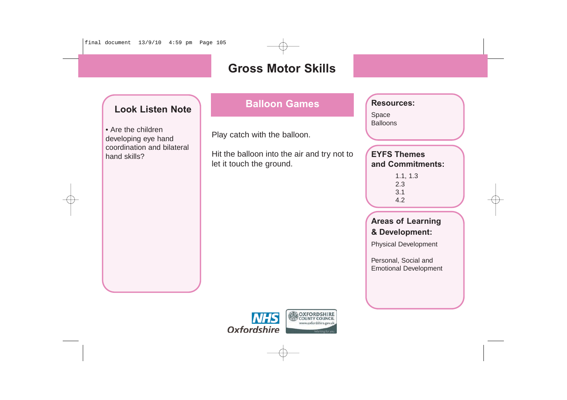final document 13/9/10 4:59 pm Page 105

# **Gross Motor Skills**

### **Look Listen Note**

• Are the children developing eye hand coordination and bilateral hand skills?

## **Balloon Games**

Play catch with the balloon.

Hit the balloon into the air and try not to let it touch the ground.

**Resources:**

Space Balloons

#### **EYFS Themes and Commitments:**

1.1, 1.3 2.3 3.1 4.2

#### **Areas of Learning & Development:**

Physical Development

Personal, Social and Emotional Development

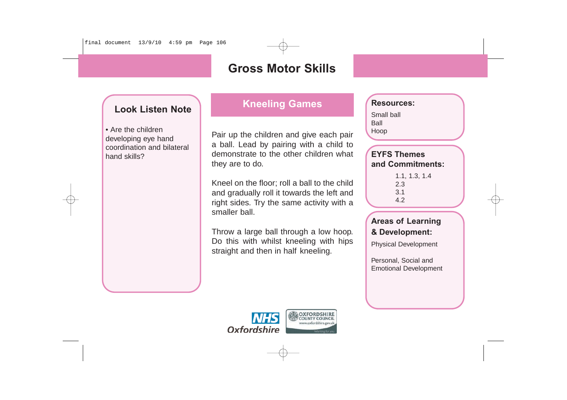### **Look Listen Note**

• Are the children developing eye hand coordination and bilateral hand skills?

# **Kneeling Games**

Pair up the children and give each pair a ball. Lead by pairing with a child to demonstrate to the other children what they are to do.

Kneel on the floor; roll a ball to the child and gradually roll it towards the left and right sides. Try the same activity with a smaller ball.

Throw a large ball through a low hoop. Do this with whilst kneeling with hips straight and then in half kneeling.

#### **Resources:**

Small ball Ball Hoop

#### **EYFS Themes and Commitments:**

1.1, 1.3, 1.4 2.3 3.1 4.2

### **Areas of Learning & Development:**

Physical Development

Personal, Social and Emotional Development

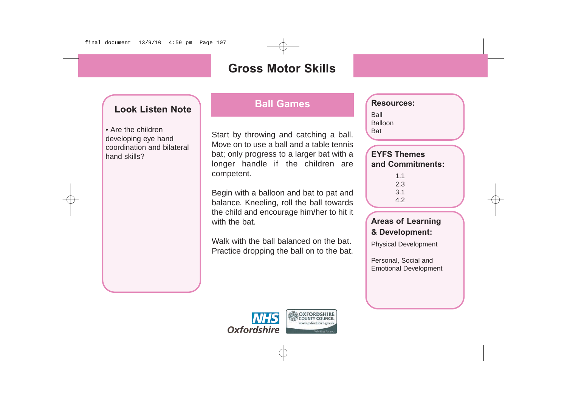### **Look Listen Note**

• Are the children developing eye hand coordination and bilateral hand skills?

# **Ball Games**

Start by throwing and catching a ball. Move on to use a ball and a table tennis bat; only progress to a larger bat with a longer handle if the children are competent.

Begin with a balloon and bat to pat and balance. Kneeling, roll the ball towards the child and encourage him/her to hit it with the bat.

Walk with the ball balanced on the bat. Practice dropping the ball on to the bat. **Resources:** Ball Balloon Bat

#### **EYFS Themes and Commitments:**

| 1.1 |
|-----|
| 2.3 |
| 3.1 |
| 42  |

#### **Areas of Learning & Development:**

Physical Development

Personal, Social and Emotional Development

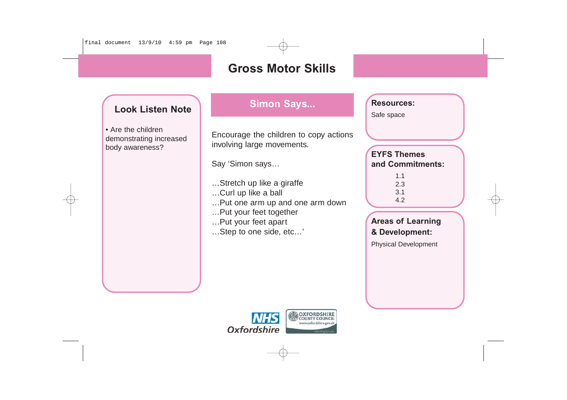final document 13/9/10 4:59 pm Page 108

# **Gross Motor Skills**

### **Look Listen Note**

• Are the children demonstrating increased body awareness?

# **Simon Says...**

Encourage the children to copy actions involving large movements.

Say 'Simon says…

- …Stretch up like a giraffe
- …Curl up like a ball
- …Put one arm up and one arm down
- …Put your feet together
- …Put your feet apart
- …Step to one side, etc…'

#### **Resources:**

Safe space

#### **EYFS Themes and Commitments:**

1.1 2.3 3.1 4.2

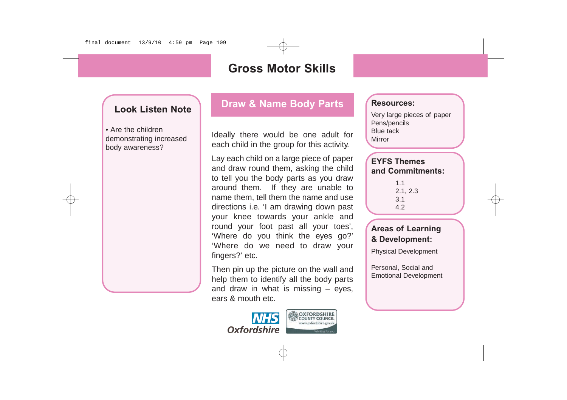## **Gross Motor Skills**

### **Look Listen Note**

• Are the children demonstrating increased body awareness?

### **Draw & Name Body Parts**

Ideally there would be one adult for each child in the group for this activity.

Lay each child on a large piece of paper and draw round them, asking the child to tell you the body parts as you draw around them. If they are unable to name them, tell them the name and use directions i.e. 'I am drawing down past your knee towards your ankle and round your foot past all your toes', 'Where do you think the eyes go?' 'Where do we need to draw your fingers?' etc.

Then pin up the picture on the wall and help them to identify all the body parts and draw in what is missing  $-$  eyes, ears & mouth etc.



#### **Resources:**

Very large pieces of paper Pens/pencils Blue tack Mirror

#### **EYFS Themes and Commitments:**

1.1 2.1, 2.3 3.1 4.2

### **Areas of Learning & Development:**

Physical Development

Personal, Social and Emotional Development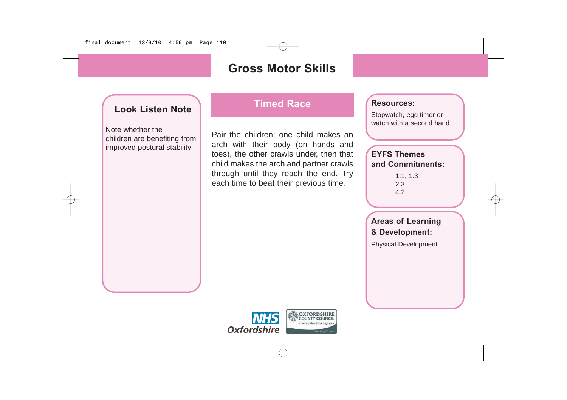### **Gross Motor Skills**

### **Look Listen Note**

Note whether the children are benefiting from improved postural stability

### **Timed Race**

Pair the children; one child makes an arch with their body (on hands and toes), the other crawls under, then that child makes the arch and partner crawls through until they reach the end. Try each time to beat their previous time.

#### **Resources:**

Stopwatch, egg timer or watch with a second hand.

#### **EYFS Themes and Commitments:**

1.1, 1.3 2.3 4.2

**Areas of Learning & Development:** Physical Development

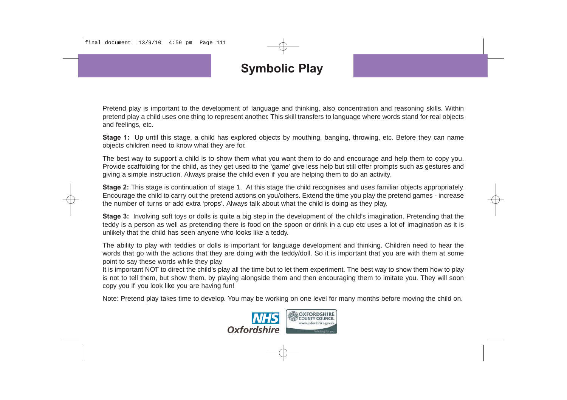final document 13/9/10 4:59 pm Page 111

# **Symbolic Play**

Pretend play is important to the development of language and thinking, also concentration and reasoning skills. Within pretend play a child uses one thing to represent another. This skill transfers to language where words stand for real objects and feelings, etc.

**Stage 1:** Up until this stage, a child has explored objects by mouthing, banging, throwing, etc. Before they can name objects children need to know what they are for.

The best way to support a child is to show them what you want them to do and encourage and help them to copy you. Provide scaffolding for the child, as they get used to the 'game' give less help but still offer prompts such as gestures and giving a simple instruction. Always praise the child even if you are helping them to do an activity.

**Stage 2:** This stage is continuation of stage 1. At this stage the child recognises and uses familiar objects appropriately. Encourage the child to carry out the pretend actions on you/others. Extend the time you play the pretend games - increase the number of turns or add extra 'props'. Always talk about what the child is doing as they play.

**Stage 3:** Involving soft toys or dolls is quite a big step in the development of the child's imagination. Pretending that the teddy is a person as well as pretending there is food on the spoon or drink in a cup etc uses a lot of imagination as it is unlikely that the child has seen anyone who looks like a teddy.

The ability to play with teddies or dolls is important for language development and thinking. Children need to hear the words that go with the actions that they are doing with the teddy/doll. So it is important that you are with them at some point to say these words while they play.

It is important NOT to direct the child's play all the time but to let them experiment. The best way to show them how to play is not to tell them, but show them, by playing alongside them and then encouraging them to imitate you. They will soon copy you if you look like you are having fun!

Note: Pretend play takes time to develop. You may be working on one level for many months before moving the child on.

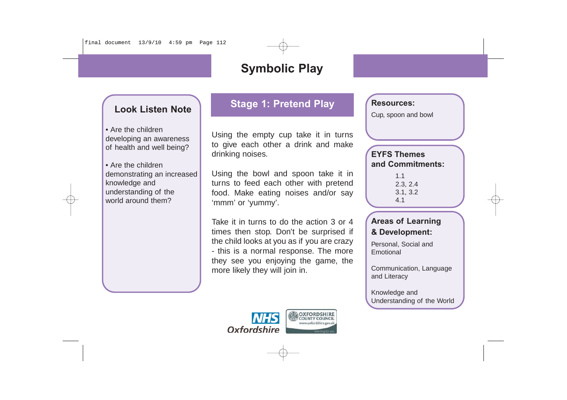### **Look Listen Note**

• Are the children developing an awareness of health and well being?

• Are the children demonstrating an increased knowledge and understanding of the world around them?

### **Stage 1: Pretend Play**

Using the empty cup take it in turns to give each other a drink and make drinking noises.

Using the bowl and spoon take it in turns to feed each other with pretend food. Make eating noises and/or say 'mmm' or 'yummy'.

Take it in turns to do the action 3 or 4 times then stop. Don't be surprised if the child looks at you as if you are crazy - this is a normal response. The more they see you enjoying the game, the more likely they will join in.



#### **Resources:**

Cup, spoon and bowl

#### **EYFS Themes and Commitments:**

1.1 2.3, 2.4 3.1, 3.2 4.1

#### **Areas of Learning & Development:**

Personal, Social and Emotional

Communication, Language and Literacy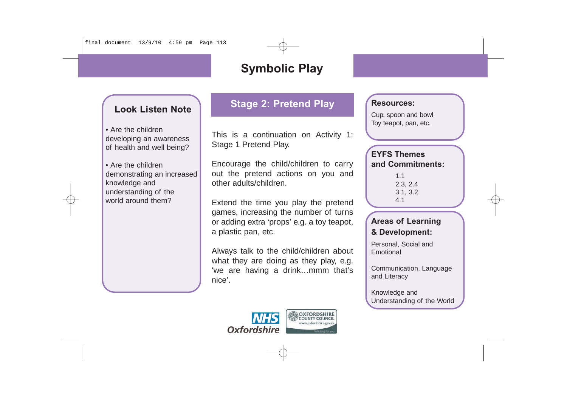### **Look Listen Note**

• Are the children developing an awareness of health and well being?

• Are the children demonstrating an increased knowledge and understanding of the world around them?

### **Stage 2: Pretend Play**

This is a continuation on Activity 1: Stage 1 Pretend Play.

Encourage the child/children to carry out the pretend actions on you and other adults/children.

Extend the time you play the pretend games, increasing the number of turns or adding extra 'props' e.g. a toy teapot, a plastic pan, etc.

Always talk to the child/children about what they are doing as they play, e.g. 'we are having a drink…mmm that's nice'.



#### **Resources:**

Cup, spoon and bowl Toy teapot, pan, etc.

#### **EYFS Themes and Commitments:**

1.1 2.3, 2.4 3.1, 3.2 4.1

#### **Areas of Learning & Development:**

Personal, Social and Emotional

Communication, Language and Literacy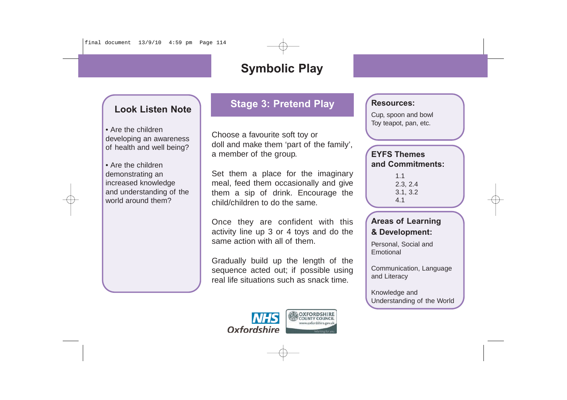### **Look Listen Note**

• Are the children developing an awareness of health and well being?

• Are the children demonstrating an increased knowledge and understanding of the world around them?

### **Stage 3: Pretend Play**

Choose a favourite soft toy or doll and make them 'part of the family', a member of the group.

Set them a place for the imaginary meal, feed them occasionally and give them a sip of drink. Encourage the child/children to do the same.

Once they are confident with this activity line up 3 or 4 toys and do the same action with all of them.

Gradually build up the length of the sequence acted out; if possible using real life situations such as snack time.



#### **Resources:**

Cup, spoon and bowl Toy teapot, pan, etc.

#### **EYFS Themes and Commitments:**

1.1 2.3, 2.4 3.1, 3.2 4.1

#### **Areas of Learning & Development:**

Personal, Social and Emotional

Communication, Language and Literacy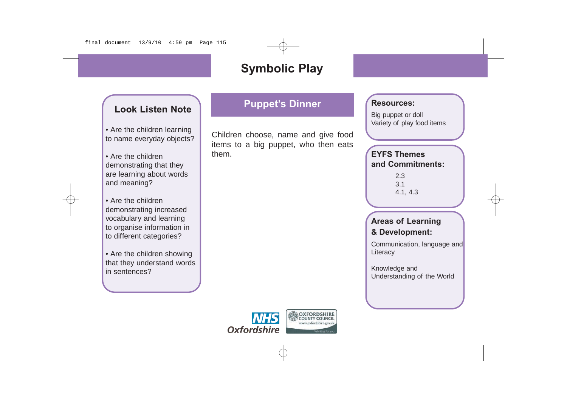### **Look Listen Note**

• Are the children learning to name everyday objects?

• Are the children demonstrating that they are learning about words and meaning?

• Are the children demonstrating increased vocabulary and learning to organise information in to different categories?

• Are the children showing that they understand words in sentences?

### **Puppet's Dinner**

Children choose, name and give food items to a big puppet, who then eats them.

#### **Resources:**

Big puppet or doll Variety of play food items

### **EYFS Themes and Commitments:**

2.3 3.1 4.1, 4.3

#### **Areas of Learning & Development:**

Communication, language and Literacy

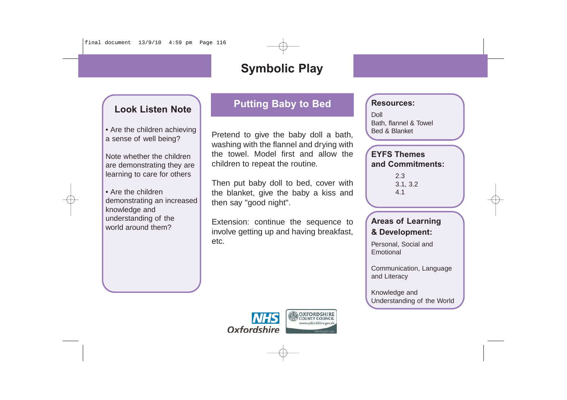### **Look Listen Note**

• Are the children achieving a sense of well being?

Note whether the children are demonstrating they are learning to care for others

• Are the children demonstrating an increased knowledge and understanding of the world around them?

### **Putting Baby to Bed**

Pretend to give the baby doll a bath, washing with the flannel and drying with the towel. Model first and allow the children to repeat the routine.

Then put baby doll to bed, cover with the blanket, give the baby a kiss and then say "good night".

Extension: continue the sequence to involve getting up and having breakfast, etc.

#### **Resources:**

Doll Bath, flannel & Towel Bed & Blanket

#### **EYFS Themes and Commitments:**

2.3 3.1, 3.2 4.1

#### **Areas of Learning & Development:**

Personal, Social and Emotional

Communication, Language and Literacy

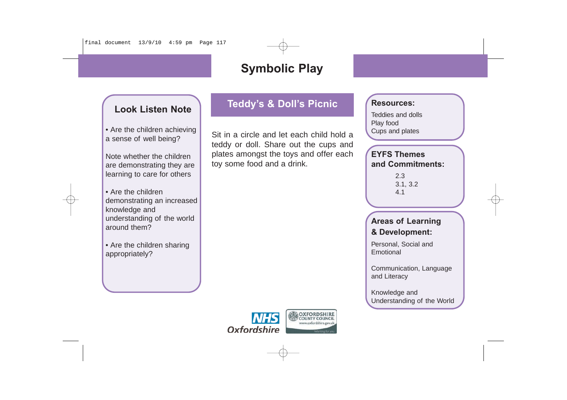### **Look Listen Note**

• Are the children achieving a sense of well being?

Note whether the children are demonstrating they are learning to care for others

• Are the children demonstrating an increased knowledge and understanding of the world around them?

• Are the children sharing appropriately?

### **Teddy's & Doll's Picnic**

Sit in a circle and let each child hold a teddy or doll. Share out the cups and plates amongst the toys and offer each toy some food and a drink.

#### **Resources:**

Teddies and dolls Play food Cups and plates

#### **EYFS Themes and Commitments:**

2.3 3.1, 3.2 4.1

#### **Areas of Learning & Development:**

Personal, Social and Emotional

Communication, Language and Literacy

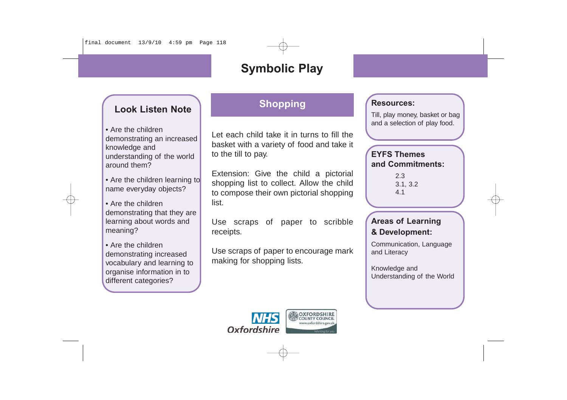### **Look Listen Note**

• Are the children demonstrating an increased knowledge and understanding of the world around them?

• Are the children learning to name everyday objects?

• Are the children demonstrating that they are learning about words and meaning?

• Are the children demonstrating increased vocabulary and learning to organise information in to different categories?

### **Shopping**

Let each child take it in turns to fill the basket with a variety of food and take it to the till to pay.

Extension: Give the child a pictorial shopping list to collect. Allow the child to compose their own pictorial shopping list.

Use scraps of paper to scribble receipts.

Use scraps of paper to encourage mark making for shopping lists.



Till, play money, basket or bag and a selection of play food.

#### **EYFS Themes and Commitments:**

2.3 3.1, 3.2 4.1

#### **Areas of Learning & Development:**

Communication, Language and Literacy

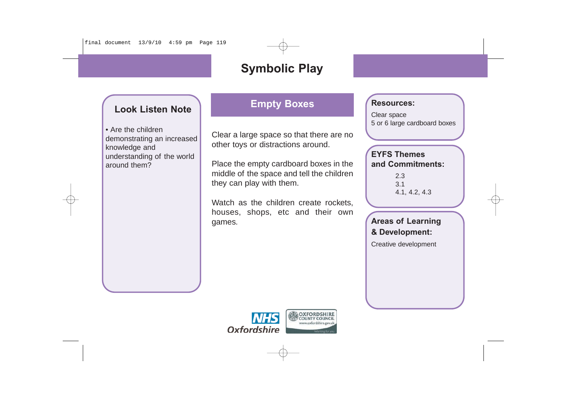### **Look Listen Note**

• Are the children demonstrating an increased knowledge and understanding of the world around them?

### **Empty Boxes**

Clear a large space so that there are no other toys or distractions around.

Place the empty cardboard boxes in the middle of the space and tell the children they can play with them.

Watch as the children create rockets, houses, shops, etc and their own games.

#### **Resources:**

Clear space 5 or 6 large cardboard boxes

#### **EYFS Themes and Commitments:**

2.3 3.1 4.1, 4.2, 4.3

### **Areas of Learning & Development:** Creative development

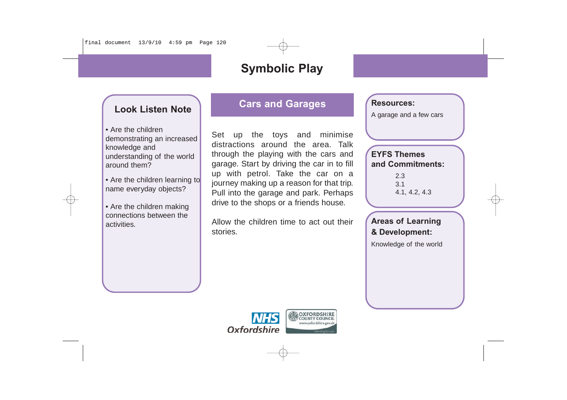### **Look Listen Note**

• Are the children demonstrating an increased knowledge and understanding of the world around them?

• Are the children learning to name everyday objects?

• Are the children making connections between the activities.

### **Cars and Garages**

Set up the toys and minimise distractions around the area. Talk through the playing with the cars and garage. Start by driving the car in to fill up with petrol. Take the car on a journey making up a reason for that trip. Pull into the garage and park. Perhaps drive to the shops or a friends house.

Allow the children time to act out their stories.

#### **Resources:**

A garage and a few cars

#### **EYFS Themes and Commitments:**

2.3 3.1 4.1, 4.2, 4.3

**Areas of Learning & Development:** Knowledge of the world

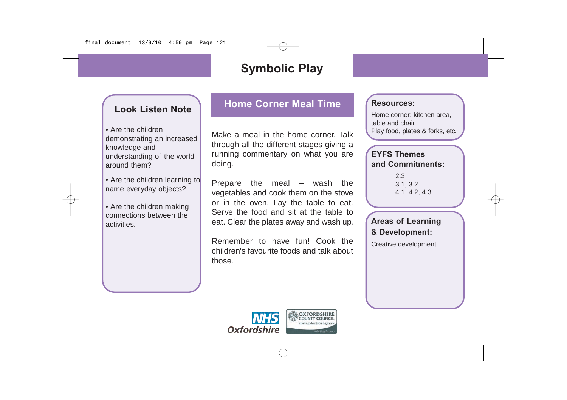### **Look Listen Note**

• Are the children demonstrating an increased knowledge and understanding of the world around them?

• Are the children learning to name everyday objects?

• Are the children making connections between the activities.

### **Home Corner Meal Time**

Make a meal in the home corner. Talk through all the different stages giving a running commentary on what you are doing.

Prepare the meal – wash the vegetables and cook them on the stove or in the oven. Lay the table to eat. Serve the food and sit at the table to eat. Clear the plates away and wash up.

Remember to have fun! Cook the children's favourite foods and talk about those.



#### **Resources:**

Home corner: kitchen area, table and chair. Play food, plates & forks, etc.

#### **EYFS Themes and Commitments:**

2.3 3.1, 3.2 4.1, 4.2, 4.3

### **Areas of Learning & Development:** Creative development